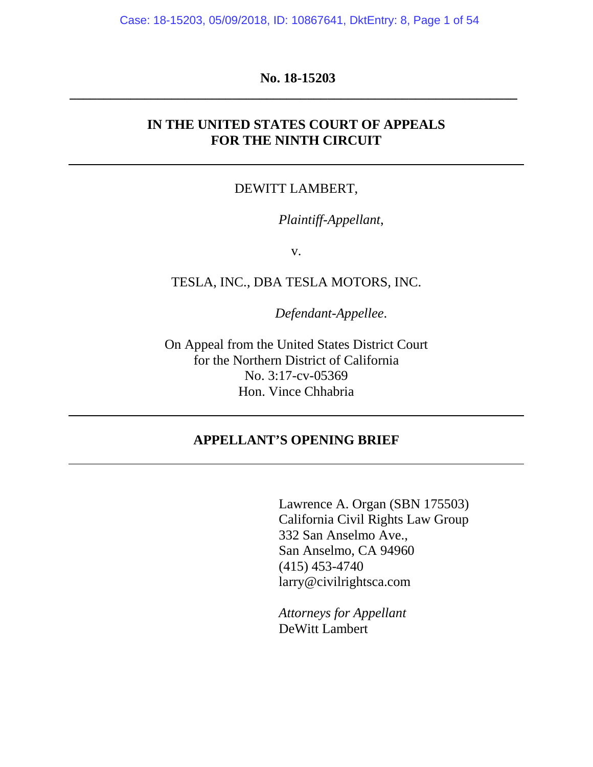Case: 18-15203, 05/09/2018, ID: 10867641, DktEntry: 8, Page 1 of 54

## **No. 18-15203 \_\_\_\_\_\_\_\_\_\_\_\_\_\_\_\_\_\_\_\_\_\_\_\_\_\_\_\_\_\_\_\_\_\_\_\_\_\_\_\_\_\_\_\_\_\_\_\_\_\_\_\_\_\_\_\_\_\_\_\_\_\_\_\_\_\_**

## **IN THE UNITED STATES COURT OF APPEALS FOR THE NINTH CIRCUIT**

#### DEWITT LAMBERT,

*Plaintiff-Appellant*,

v.

TESLA, INC., DBA TESLA MOTORS, INC.

*Defendant-Appellee*.

On Appeal from the United States District Court for the Northern District of California No. 3:17-cv-05369 Hon. Vince Chhabria

## **APPELLANT'S OPENING BRIEF**

Lawrence A. Organ (SBN 175503) California Civil Rights Law Group 332 San Anselmo Ave., San Anselmo, CA 94960 (415) 453-4740 larry@civilrightsca.com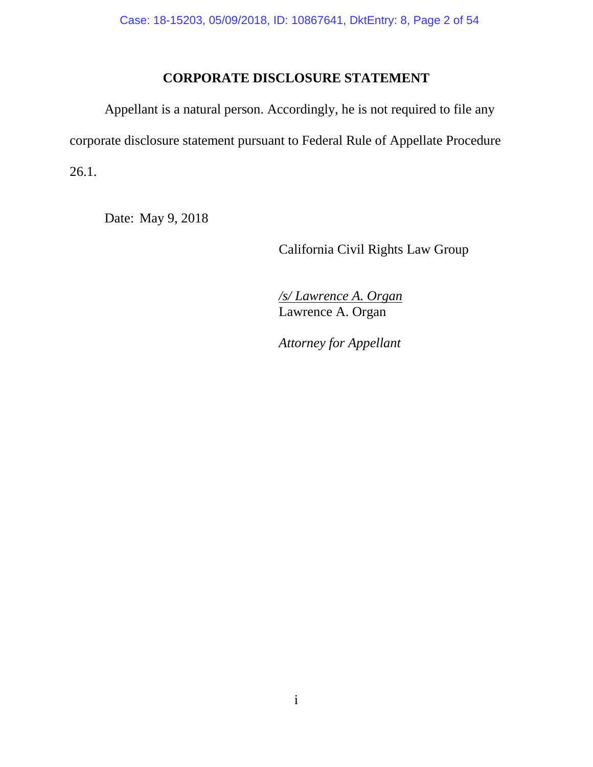## **CORPORATE DISCLOSURE STATEMENT**

Appellant is a natural person. Accordingly, he is not required to file any corporate disclosure statement pursuant to Federal Rule of Appellate Procedure 26.1.

Date: May 9, 2018

California Civil Rights Law Group

*/s/ Lawrence A. Organ* Lawrence A. Organ

*Attorney for Appellant*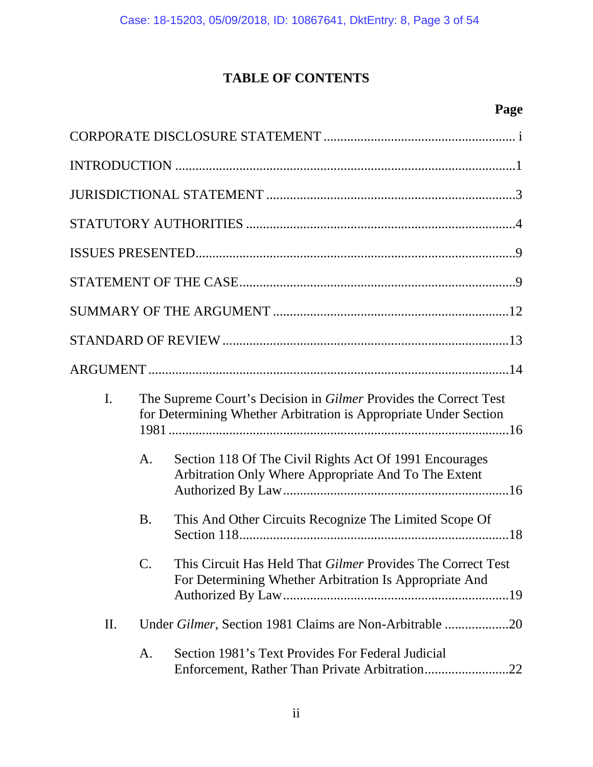# **TABLE OF CONTENTS**

# **Page**

| I. |                 | The Supreme Court's Decision in Gilmer Provides the Correct Test<br>for Determining Whether Arbitration is Appropriate Under Section |
|----|-----------------|--------------------------------------------------------------------------------------------------------------------------------------|
|    | A.              | Section 118 Of The Civil Rights Act Of 1991 Encourages<br>Arbitration Only Where Appropriate And To The Extent                       |
|    | <b>B.</b>       | This And Other Circuits Recognize The Limited Scope Of                                                                               |
|    | $\mathcal{C}$ . | This Circuit Has Held That Gilmer Provides The Correct Test<br>For Determining Whether Arbitration Is Appropriate And                |
| П. |                 | Under Gilmer, Section 1981 Claims are Non-Arbitrable 20                                                                              |
|    | A.              | Section 1981's Text Provides For Federal Judicial                                                                                    |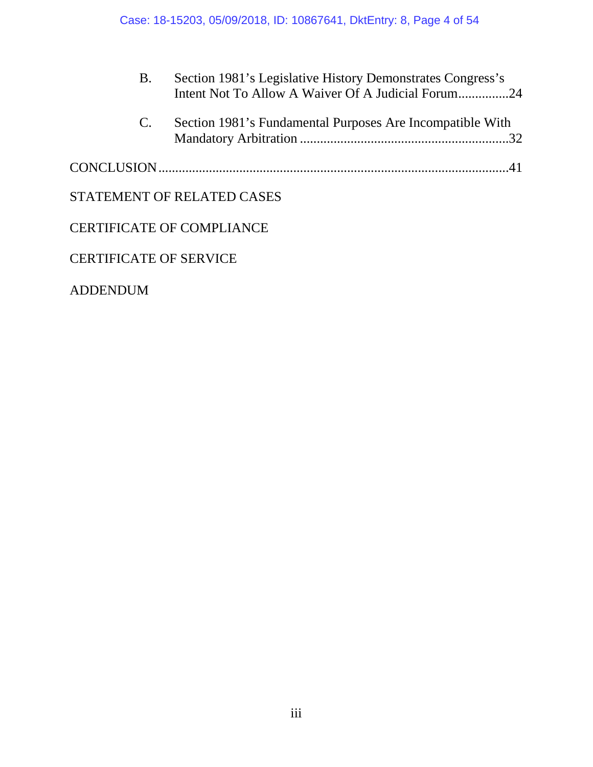| <b>B.</b>   | Section 1981's Legislative History Demonstrates Congress's<br>Intent Not To Allow A Waiver Of A Judicial Forum24 |
|-------------|------------------------------------------------------------------------------------------------------------------|
| $C_{\cdot}$ | Section 1981's Fundamental Purposes Are Incompatible With                                                        |
|             |                                                                                                                  |
|             | STATEMENT OF RELATED CASES                                                                                       |
|             | <b>CERTIFICATE OF COMPLIANCE</b>                                                                                 |
|             | <b>CERTIFICATE OF SERVICE</b>                                                                                    |
|             |                                                                                                                  |

ADDENDUM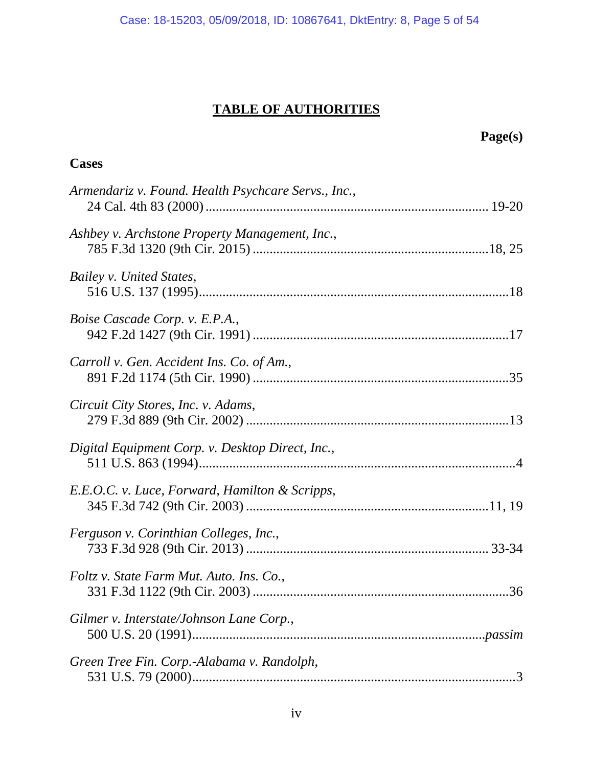# **TABLE OF AUTHORITIES**

|                                                     | Page(s) |
|-----------------------------------------------------|---------|
| <b>Cases</b>                                        |         |
| Armendariz v. Found. Health Psychcare Servs., Inc., |         |
| Ashbey v. Archstone Property Management, Inc.,      |         |
| Bailey v. United States,                            |         |
| <i>Boise Cascade Corp. v. E.P.A.</i> ,              |         |
| Carroll v. Gen. Accident Ins. Co. of Am.,           |         |
| Circuit City Stores, Inc. v. Adams,                 |         |
| Digital Equipment Corp. v. Desktop Direct, Inc.,    |         |
| E.E.O.C. v. Luce, Forward, Hamilton & Scripps,      |         |
| Ferguson v. Corinthian Colleges, Inc.,              |         |
| Foltz v. State Farm Mut. Auto. Ins. Co.,            |         |
| Gilmer v. Interstate/Johnson Lane Corp.,            |         |
| Green Tree Fin. Corp.-Alabama v. Randolph,          |         |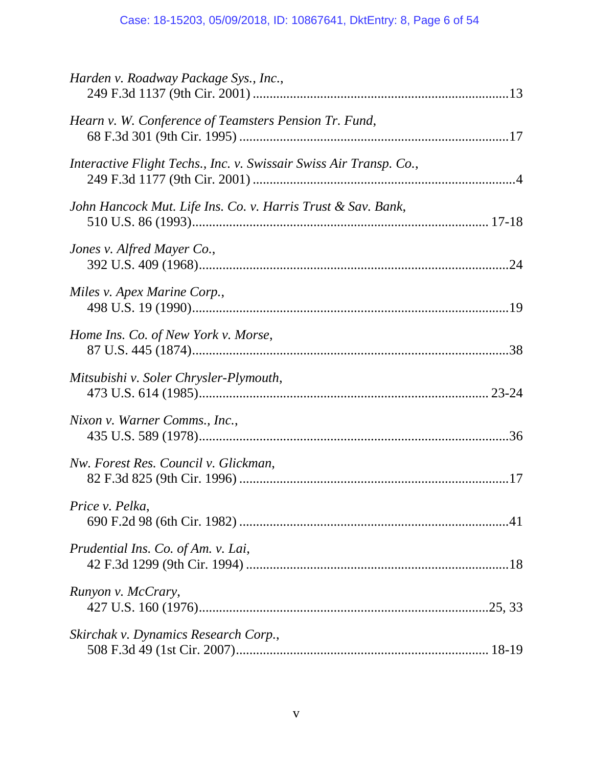## Case: 18-15203, 05/09/2018, ID: 10867641, DktEntry: 8, Page 6 of 54

| Harden v. Roadway Package Sys., Inc.,                              |  |
|--------------------------------------------------------------------|--|
| Hearn v. W. Conference of Teamsters Pension Tr. Fund,              |  |
| Interactive Flight Techs., Inc. v. Swissair Swiss Air Transp. Co., |  |
| John Hancock Mut. Life Ins. Co. v. Harris Trust & Sav. Bank,       |  |
| Jones v. Alfred Mayer Co.,                                         |  |
| Miles v. Apex Marine Corp.,                                        |  |
| Home Ins. Co. of New York v. Morse,                                |  |
| Mitsubishi v. Soler Chrysler-Plymouth,                             |  |
| Nixon v. Warner Comms., Inc.,                                      |  |
| Nw. Forest Res. Council v. Glickman,                               |  |
| Price v. Pelka,                                                    |  |
| Prudential Ins. Co. of Am. v. Lai,                                 |  |
| Runyon v. McCrary,                                                 |  |
| Skirchak v. Dynamics Research Corp.,                               |  |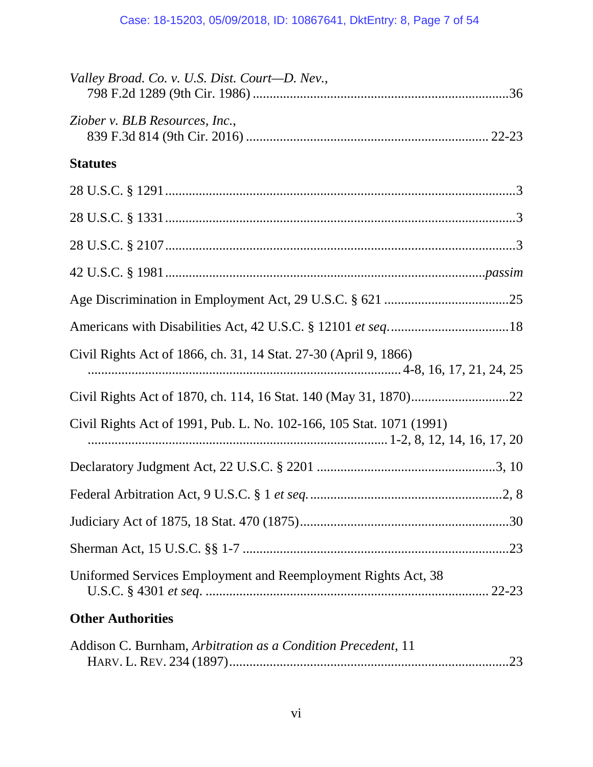| Valley Broad. Co. v. U.S. Dist. Court-D. Nev.,                       |
|----------------------------------------------------------------------|
| Ziober v. BLB Resources, Inc.,                                       |
| <b>Statutes</b>                                                      |
|                                                                      |
|                                                                      |
|                                                                      |
|                                                                      |
|                                                                      |
|                                                                      |
| Civil Rights Act of 1866, ch. 31, 14 Stat. 27-30 (April 9, 1866)     |
|                                                                      |
| Civil Rights Act of 1991, Pub. L. No. 102-166, 105 Stat. 1071 (1991) |
|                                                                      |
|                                                                      |
|                                                                      |
|                                                                      |
| Uniformed Services Employment and Reemployment Rights Act, 38        |
| <b>Other Authorities</b>                                             |

| Addison C. Burnham, Arbitration as a Condition Precedent, 11 |  |
|--------------------------------------------------------------|--|
|                                                              |  |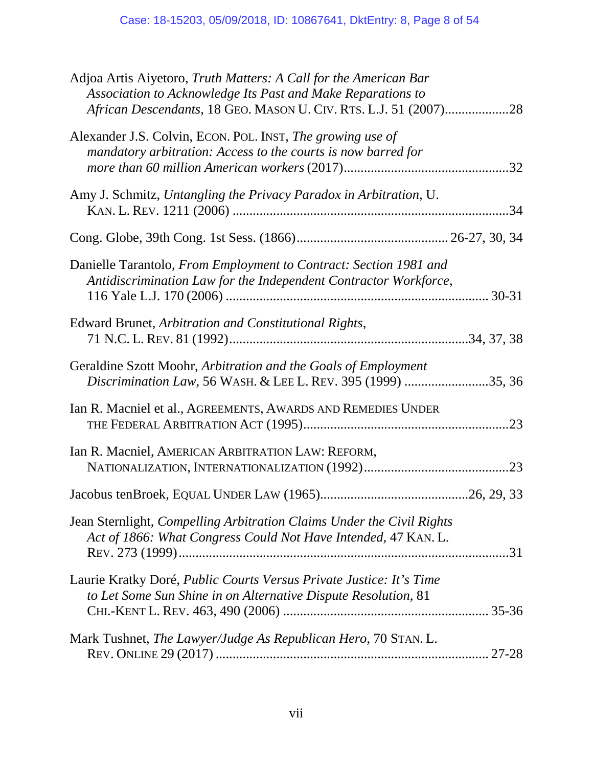| Adjoa Artis Aiyetoro, Truth Matters: A Call for the American Bar<br>Association to Acknowledge Its Past and Make Reparations to<br>African Descendants, 18 GEO. MASON U. CIV. RTS. L.J. 51 (2007)28 |  |
|-----------------------------------------------------------------------------------------------------------------------------------------------------------------------------------------------------|--|
| Alexander J.S. Colvin, ECON. POL. INST, The growing use of<br>mandatory arbitration: Access to the courts is now barred for                                                                         |  |
| Amy J. Schmitz, Untangling the Privacy Paradox in Arbitration, U.                                                                                                                                   |  |
|                                                                                                                                                                                                     |  |
| Danielle Tarantolo, From Employment to Contract: Section 1981 and<br>Antidiscrimination Law for the Independent Contractor Workforce,                                                               |  |
| Edward Brunet, Arbitration and Constitutional Rights,                                                                                                                                               |  |
| Geraldine Szott Moohr, Arbitration and the Goals of Employment<br>Discrimination Law, 56 WASH. & LEE L. REV. 395 (1999) 35, 36                                                                      |  |
| Ian R. Macniel et al., AGREEMENTS, AWARDS AND REMEDIES UNDER                                                                                                                                        |  |
| Ian R. Macniel, AMERICAN ARBITRATION LAW: REFORM,                                                                                                                                                   |  |
|                                                                                                                                                                                                     |  |
| Jean Sternlight, Compelling Arbitration Claims Under the Civil Rights<br>Act of 1866: What Congress Could Not Have Intended, 47 KAN. L.                                                             |  |
| Laurie Kratky Doré, <i>Public Courts Versus Private Justice: It's Time</i><br>to Let Some Sun Shine in on Alternative Dispute Resolution, 81                                                        |  |
| Mark Tushnet, The Lawyer/Judge As Republican Hero, 70 STAN. L.                                                                                                                                      |  |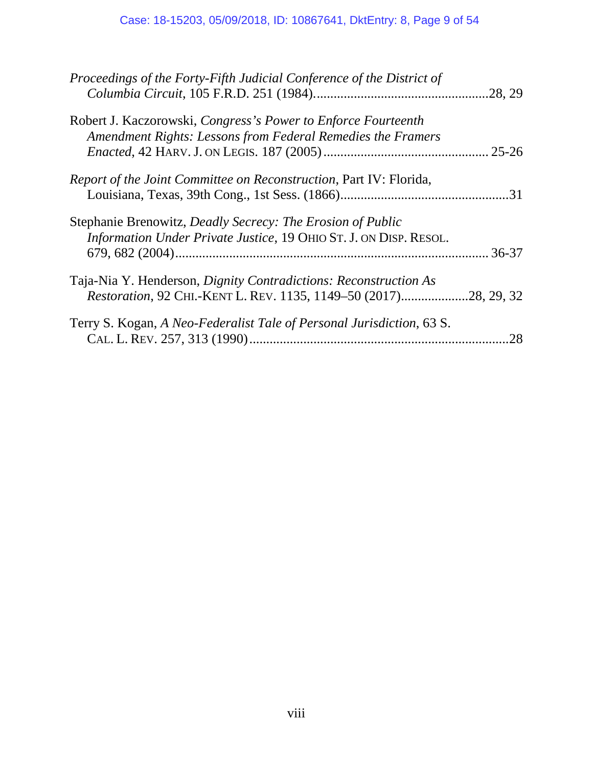| Proceedings of the Forty-Fifth Judicial Conference of the District of                                                                | .28, 29   |
|--------------------------------------------------------------------------------------------------------------------------------------|-----------|
| Robert J. Kaczorowski, Congress's Power to Enforce Fourteenth<br>Amendment Rights: Lessons from Federal Remedies the Framers         | $25 - 26$ |
| Report of the Joint Committee on Reconstruction, Part IV: Florida,                                                                   | .31       |
| Stephanie Brenowitz, Deadly Secrecy: The Erosion of Public<br>Information Under Private Justice, 19 OHIO ST. J. ON DISP. RESOL.      |           |
| Taja-Nia Y. Henderson, Dignity Contradictions: Reconstruction As<br>Restoration, 92 CHI.-KENT L. REV. 1135, 1149-50 (2017)28, 29, 32 |           |
| Terry S. Kogan, A Neo-Federalist Tale of Personal Jurisdiction, 63 S.                                                                | .28       |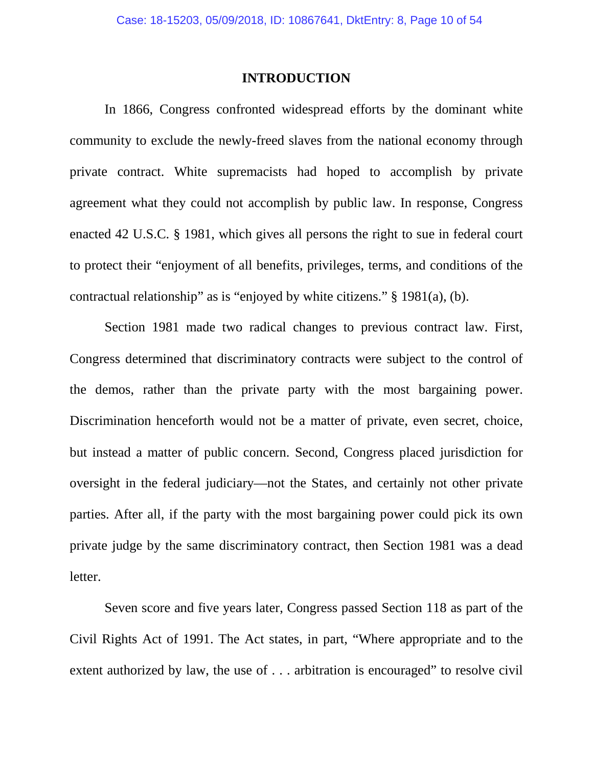#### **INTRODUCTION**

In 1866, Congress confronted widespread efforts by the dominant white community to exclude the newly-freed slaves from the national economy through private contract. White supremacists had hoped to accomplish by private agreement what they could not accomplish by public law. In response, Congress enacted 42 U.S.C. § 1981, which gives all persons the right to sue in federal court to protect their "enjoyment of all benefits, privileges, terms, and conditions of the contractual relationship" as is "enjoyed by white citizens." § 1981(a), (b).

Section 1981 made two radical changes to previous contract law. First, Congress determined that discriminatory contracts were subject to the control of the demos, rather than the private party with the most bargaining power. Discrimination henceforth would not be a matter of private, even secret, choice, but instead a matter of public concern. Second, Congress placed jurisdiction for oversight in the federal judiciary—not the States, and certainly not other private parties. After all, if the party with the most bargaining power could pick its own private judge by the same discriminatory contract, then Section 1981 was a dead letter.

Seven score and five years later, Congress passed Section 118 as part of the Civil Rights Act of 1991. The Act states, in part, "Where appropriate and to the extent authorized by law, the use of . . . arbitration is encouraged" to resolve civil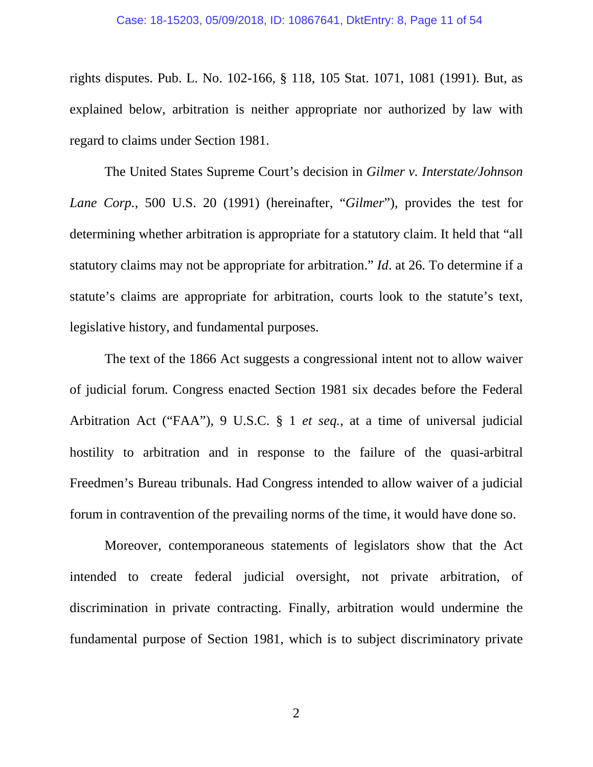#### <span id="page-10-0"></span>Case: 18-15203, 05/09/2018, ID: 10867641, DktEntry: 8, Page 11 of 54

rights disputes. Pub. L. No. 102-166, § 118, 105 Stat. 1071, 1081 (1991). But, as explained below, arbitration is neither appropriate nor authorized by law with regard to claims under Section 1981.

The United States Supreme Court's decision in *Gilmer v. Interstate/Johnson Lane Corp.*, 500 U.S. 20 (1991) (hereinafter, "*Gilmer*"), provides the test for determining whether arbitration is appropriate for a statutory claim. It held that "all statutory claims may not be appropriate for arbitration." *Id*. at 26. To determine if a statute's claims are appropriate for arbitration, courts look to the statute's text, legislative history, and fundamental purposes.

The text of the 1866 Act suggests a congressional intent not to allow waiver of judicial forum. Congress enacted Section 1981 six decades before the Federal Arbitration Act ("FAA"), 9 U.S.C. § 1 *et seq.*, at a time of universal judicial hostility to arbitration and in response to the failure of the quasi-arbitral Freedmen's Bureau tribunals. Had Congress intended to allow waiver of a judicial forum in contravention of the prevailing norms of the time, it would have done so.

Moreover, contemporaneous statements of legislators show that the Act intended to create federal judicial oversight, not private arbitration, of discrimination in private contracting. Finally, arbitration would undermine the fundamental purpose of Section 1981, which is to subject discriminatory private

2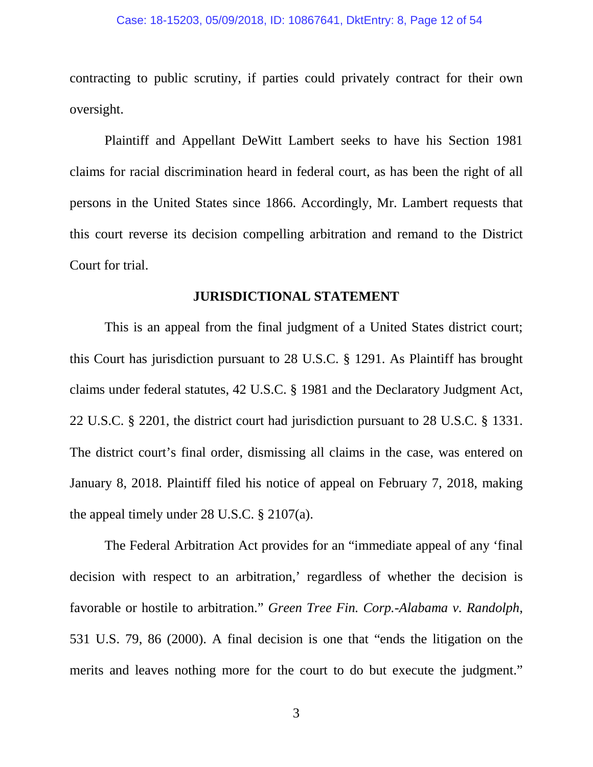contracting to public scrutiny, if parties could privately contract for their own oversight.

Plaintiff and Appellant DeWitt Lambert seeks to have his Section 1981 claims for racial discrimination heard in federal court, as has been the right of all persons in the United States since 1866. Accordingly, Mr. Lambert requests that this court reverse its decision compelling arbitration and remand to the District Court for trial.

#### <span id="page-11-2"></span><span id="page-11-1"></span>**JURISDICTIONAL STATEMENT**

<span id="page-11-4"></span>This is an appeal from the final judgment of a United States district court; this Court has jurisdiction pursuant to 28 U.S.C. § 1291. As Plaintiff has brought claims under federal statutes, 42 U.S.C. § 1981 and the Declaratory Judgment Act, 22 U.S.C. § 2201, the district court had jurisdiction pursuant to 28 U.S.C. § 1331. The district court's final order, dismissing all claims in the case, was entered on January 8, 2018. Plaintiff filed his notice of appeal on February 7, 2018, making the appeal timely under 28 U.S.C. § 2107(a).

<span id="page-11-3"></span><span id="page-11-0"></span>The Federal Arbitration Act provides for an "immediate appeal of any 'final decision with respect to an arbitration,' regardless of whether the decision is favorable or hostile to arbitration." *Green Tree Fin. Corp.-Alabama v. Randolph*, 531 U.S. 79, 86 (2000). A final decision is one that "ends the litigation on the merits and leaves nothing more for the court to do but execute the judgment."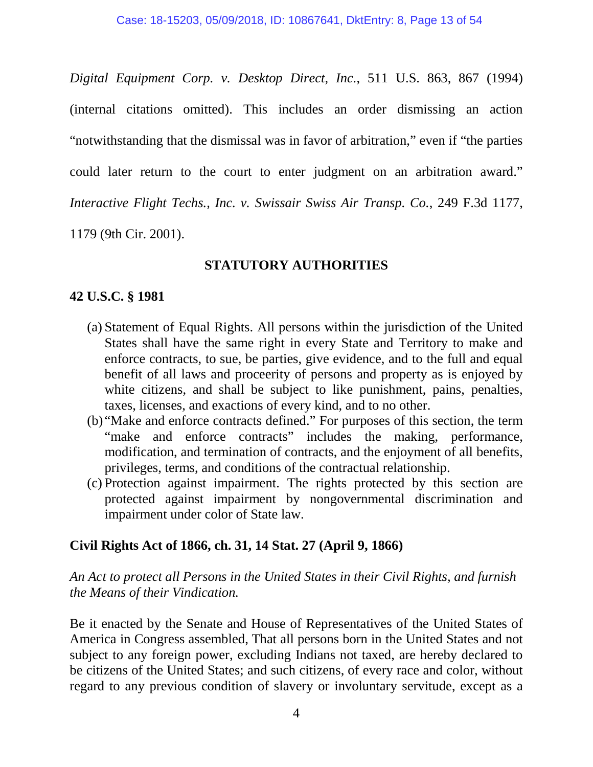<span id="page-12-0"></span>*Digital Equipment Corp. v. Desktop Direct, Inc.*, 511 U.S. 863, 867 (1994) (internal citations omitted). This includes an order dismissing an action "notwithstanding that the dismissal was in favor of arbitration," even if "the parties could later return to the court to enter judgment on an arbitration award." *Interactive Flight Techs., Inc. v. Swissair Swiss Air Transp. Co.*, 249 F.3d 1177, 1179 (9th Cir. 2001).

## **STATUTORY AUTHORITIES**

## <span id="page-12-1"></span>**42 U.S.C. § 1981**

- (a) Statement of Equal Rights. All persons within the jurisdiction of the United States shall have the same right in every State and Territory to make and enforce contracts, to sue, be parties, give evidence, and to the full and equal benefit of all laws and proceerity of persons and property as is enjoyed by white citizens, and shall be subject to like punishment, pains, penalties, taxes, licenses, and exactions of every kind, and to no other.
- (b) "Make and enforce contracts defined." For purposes of this section, the term "make and enforce contracts" includes the making, performance, modification, and termination of contracts, and the enjoyment of all benefits, privileges, terms, and conditions of the contractual relationship.
- (c) Protection against impairment. The rights protected by this section are protected against impairment by nongovernmental discrimination and impairment under color of State law.

## **Civil Rights Act of 1866, ch. 31, 14 Stat. 27 (April 9, 1866)**

*An Act to protect all Persons in the United States in their Civil Rights, and furnish the Means of their Vindication.*

Be it enacted by the Senate and House of Representatives of the United States of America in Congress assembled, That all persons born in the United States and not subject to any foreign power, excluding Indians not taxed, are hereby declared to be citizens of the United States; and such citizens, of every race and color, without regard to any previous condition of slavery or involuntary servitude, except as a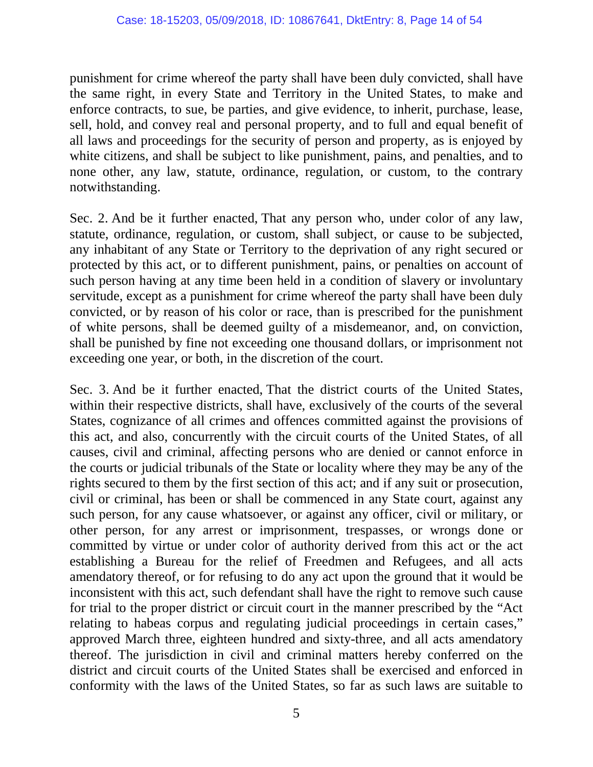punishment for crime whereof the party shall have been duly convicted, shall have the same right, in every State and Territory in the United States, to make and enforce contracts, to sue, be parties, and give evidence, to inherit, purchase, lease, sell, hold, and convey real and personal property, and to full and equal benefit of all laws and proceedings for the security of person and property, as is enjoyed by white citizens, and shall be subject to like punishment, pains, and penalties, and to none other, any law, statute, ordinance, regulation, or custom, to the contrary notwithstanding.

Sec. 2. And be it further enacted, That any person who, under color of any law, statute, ordinance, regulation, or custom, shall subject, or cause to be subjected, any inhabitant of any State or Territory to the deprivation of any right secured or protected by this act, or to different punishment, pains, or penalties on account of such person having at any time been held in a condition of slavery or involuntary servitude, except as a punishment for crime whereof the party shall have been duly convicted, or by reason of his color or race, than is prescribed for the punishment of white persons, shall be deemed guilty of a misdemeanor, and, on conviction, shall be punished by fine not exceeding one thousand dollars, or imprisonment not exceeding one year, or both, in the discretion of the court.

Sec. 3. And be it further enacted, That the district courts of the United States, within their respective districts, shall have, exclusively of the courts of the several States, cognizance of all crimes and offences committed against the provisions of this act, and also, concurrently with the circuit courts of the United States, of all causes, civil and criminal, affecting persons who are denied or cannot enforce in the courts or judicial tribunals of the State or locality where they may be any of the rights secured to them by the first section of this act; and if any suit or prosecution, civil or criminal, has been or shall be commenced in any State court, against any such person, for any cause whatsoever, or against any officer, civil or military, or other person, for any arrest or imprisonment, trespasses, or wrongs done or committed by virtue or under color of authority derived from this act or the act establishing a Bureau for the relief of Freedmen and Refugees, and all acts amendatory thereof, or for refusing to do any act upon the ground that it would be inconsistent with this act, such defendant shall have the right to remove such cause for trial to the proper district or circuit court in the manner prescribed by the "Act relating to habeas corpus and regulating judicial proceedings in certain cases," approved March three, eighteen hundred and sixty-three, and all acts amendatory thereof. The jurisdiction in civil and criminal matters hereby conferred on the district and circuit courts of the United States shall be exercised and enforced in conformity with the laws of the United States, so far as such laws are suitable to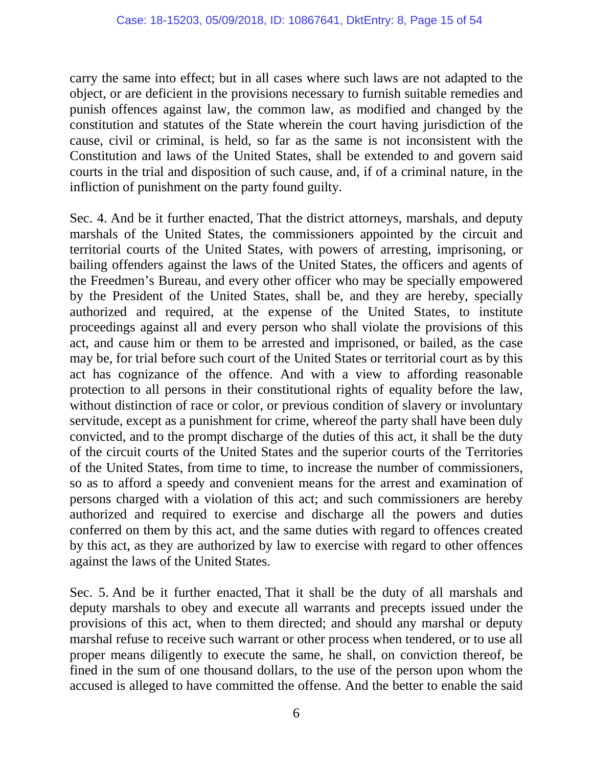carry the same into effect; but in all cases where such laws are not adapted to the object, or are deficient in the provisions necessary to furnish suitable remedies and punish offences against law, the common law, as modified and changed by the constitution and statutes of the State wherein the court having jurisdiction of the cause, civil or criminal, is held, so far as the same is not inconsistent with the Constitution and laws of the United States, shall be extended to and govern said courts in the trial and disposition of such cause, and, if of a criminal nature, in the infliction of punishment on the party found guilty.

Sec. 4. And be it further enacted, That the district attorneys, marshals, and deputy marshals of the United States, the commissioners appointed by the circuit and territorial courts of the United States, with powers of arresting, imprisoning, or bailing offenders against the laws of the United States, the officers and agents of the Freedmen's Bureau, and every other officer who may be specially empowered by the President of the United States, shall be, and they are hereby, specially authorized and required, at the expense of the United States, to institute proceedings against all and every person who shall violate the provisions of this act, and cause him or them to be arrested and imprisoned, or bailed, as the case may be, for trial before such court of the United States or territorial court as by this act has cognizance of the offence. And with a view to affording reasonable protection to all persons in their constitutional rights of equality before the law, without distinction of race or color, or previous condition of slavery or involuntary servitude, except as a punishment for crime, whereof the party shall have been duly convicted, and to the prompt discharge of the duties of this act, it shall be the duty of the circuit courts of the United States and the superior courts of the Territories of the United States, from time to time, to increase the number of commissioners, so as to afford a speedy and convenient means for the arrest and examination of persons charged with a violation of this act; and such commissioners are hereby authorized and required to exercise and discharge all the powers and duties conferred on them by this act, and the same duties with regard to offences created by this act, as they are authorized by law to exercise with regard to other offences against the laws of the United States.

Sec. 5. And be it further enacted, That it shall be the duty of all marshals and deputy marshals to obey and execute all warrants and precepts issued under the provisions of this act, when to them directed; and should any marshal or deputy marshal refuse to receive such warrant or other process when tendered, or to use all proper means diligently to execute the same, he shall, on conviction thereof, be fined in the sum of one thousand dollars, to the use of the person upon whom the accused is alleged to have committed the offense. And the better to enable the said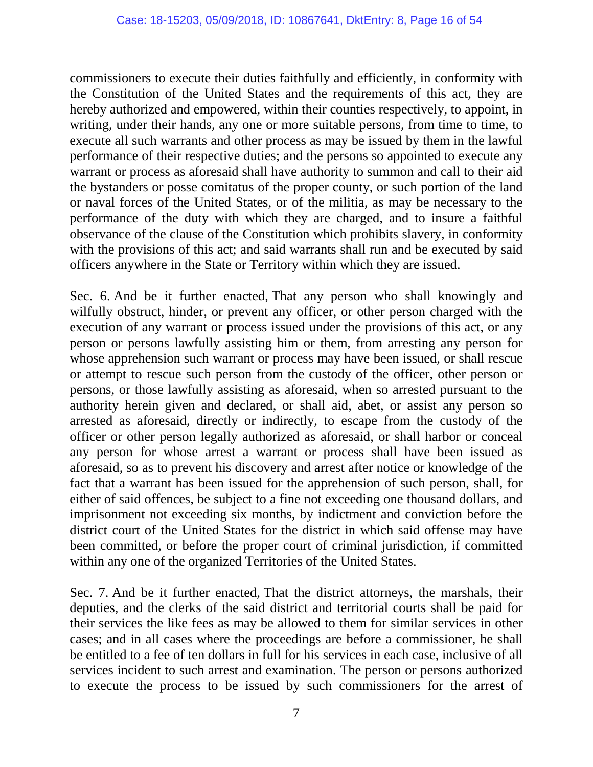commissioners to execute their duties faithfully and efficiently, in conformity with the Constitution of the United States and the requirements of this act, they are hereby authorized and empowered, within their counties respectively, to appoint, in writing, under their hands, any one or more suitable persons, from time to time, to execute all such warrants and other process as may be issued by them in the lawful performance of their respective duties; and the persons so appointed to execute any warrant or process as aforesaid shall have authority to summon and call to their aid the bystanders or posse comitatus of the proper county, or such portion of the land or naval forces of the United States, or of the militia, as may be necessary to the performance of the duty with which they are charged, and to insure a faithful observance of the clause of the Constitution which prohibits slavery, in conformity with the provisions of this act; and said warrants shall run and be executed by said officers anywhere in the State or Territory within which they are issued.

Sec. 6. And be it further enacted, That any person who shall knowingly and wilfully obstruct, hinder, or prevent any officer, or other person charged with the execution of any warrant or process issued under the provisions of this act, or any person or persons lawfully assisting him or them, from arresting any person for whose apprehension such warrant or process may have been issued, or shall rescue or attempt to rescue such person from the custody of the officer, other person or persons, or those lawfully assisting as aforesaid, when so arrested pursuant to the authority herein given and declared, or shall aid, abet, or assist any person so arrested as aforesaid, directly or indirectly, to escape from the custody of the officer or other person legally authorized as aforesaid, or shall harbor or conceal any person for whose arrest a warrant or process shall have been issued as aforesaid, so as to prevent his discovery and arrest after notice or knowledge of the fact that a warrant has been issued for the apprehension of such person, shall, for either of said offences, be subject to a fine not exceeding one thousand dollars, and imprisonment not exceeding six months, by indictment and conviction before the district court of the United States for the district in which said offense may have been committed, or before the proper court of criminal jurisdiction, if committed within any one of the organized Territories of the United States.

Sec. 7. And be it further enacted, That the district attorneys, the marshals, their deputies, and the clerks of the said district and territorial courts shall be paid for their services the like fees as may be allowed to them for similar services in other cases; and in all cases where the proceedings are before a commissioner, he shall be entitled to a fee of ten dollars in full for his services in each case, inclusive of all services incident to such arrest and examination. The person or persons authorized to execute the process to be issued by such commissioners for the arrest of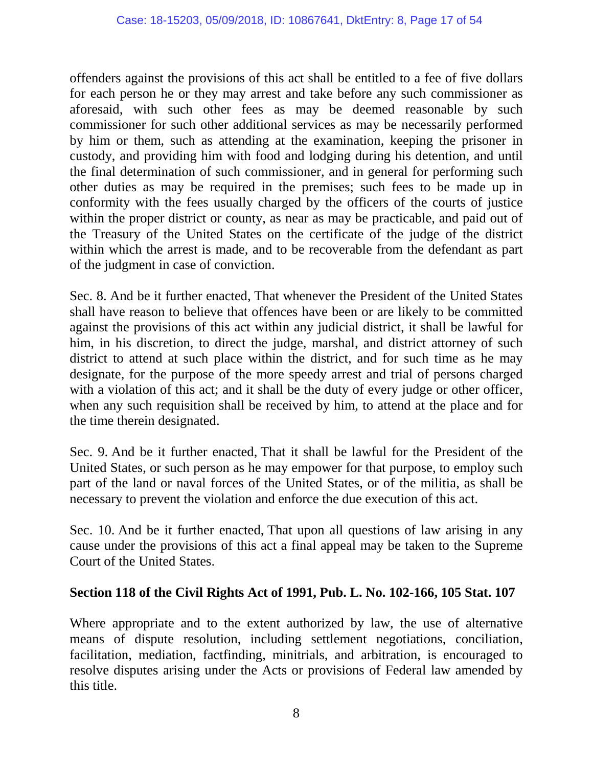offenders against the provisions of this act shall be entitled to a fee of five dollars for each person he or they may arrest and take before any such commissioner as aforesaid, with such other fees as may be deemed reasonable by such commissioner for such other additional services as may be necessarily performed by him or them, such as attending at the examination, keeping the prisoner in custody, and providing him with food and lodging during his detention, and until the final determination of such commissioner, and in general for performing such other duties as may be required in the premises; such fees to be made up in conformity with the fees usually charged by the officers of the courts of justice within the proper district or county, as near as may be practicable, and paid out of the Treasury of the United States on the certificate of the judge of the district within which the arrest is made, and to be recoverable from the defendant as part of the judgment in case of conviction.

Sec. 8. And be it further enacted, That whenever the President of the United States shall have reason to believe that offences have been or are likely to be committed against the provisions of this act within any judicial district, it shall be lawful for him, in his discretion, to direct the judge, marshal, and district attorney of such district to attend at such place within the district, and for such time as he may designate, for the purpose of the more speedy arrest and trial of persons charged with a violation of this act; and it shall be the duty of every judge or other officer, when any such requisition shall be received by him, to attend at the place and for the time therein designated.

Sec. 9. And be it further enacted, That it shall be lawful for the President of the United States, or such person as he may empower for that purpose, to employ such part of the land or naval forces of the United States, or of the militia, as shall be necessary to prevent the violation and enforce the due execution of this act.

Sec. 10. And be it further enacted, That upon all questions of law arising in any cause under the provisions of this act a final appeal may be taken to the Supreme Court of the United States.

## **Section 118 of the Civil Rights Act of 1991, Pub. L. No. 102-166, 105 Stat. 107**

Where appropriate and to the extent authorized by law, the use of alternative means of dispute resolution, including settlement negotiations, conciliation, facilitation, mediation, factfinding, minitrials, and arbitration, is encouraged to resolve disputes arising under the Acts or provisions of Federal law amended by this title.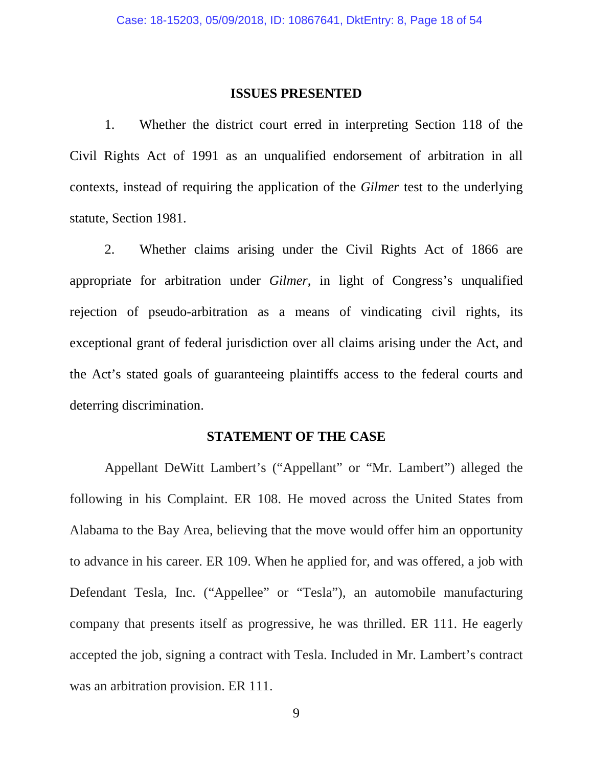#### <span id="page-17-0"></span>**ISSUES PRESENTED**

1. Whether the district court erred in interpreting Section 118 of the Civil Rights Act of 1991 as an unqualified endorsement of arbitration in all contexts, instead of requiring the application of the *Gilmer* test to the underlying statute, Section 1981.

2. Whether claims arising under the Civil Rights Act of 1866 are appropriate for arbitration under *Gilmer*, in light of Congress's unqualified rejection of pseudo-arbitration as a means of vindicating civil rights, its exceptional grant of federal jurisdiction over all claims arising under the Act, and the Act's stated goals of guaranteeing plaintiffs access to the federal courts and deterring discrimination.

## **STATEMENT OF THE CASE**

Appellant DeWitt Lambert's ("Appellant" or "Mr. Lambert") alleged the following in his Complaint. ER 108. He moved across the United States from Alabama to the Bay Area, believing that the move would offer him an opportunity to advance in his career. ER 109. When he applied for, and was offered, a job with Defendant Tesla, Inc. ("Appellee" or "Tesla"), an automobile manufacturing company that presents itself as progressive, he was thrilled. ER 111. He eagerly accepted the job, signing a contract with Tesla. Included in Mr. Lambert's contract was an arbitration provision. ER 111.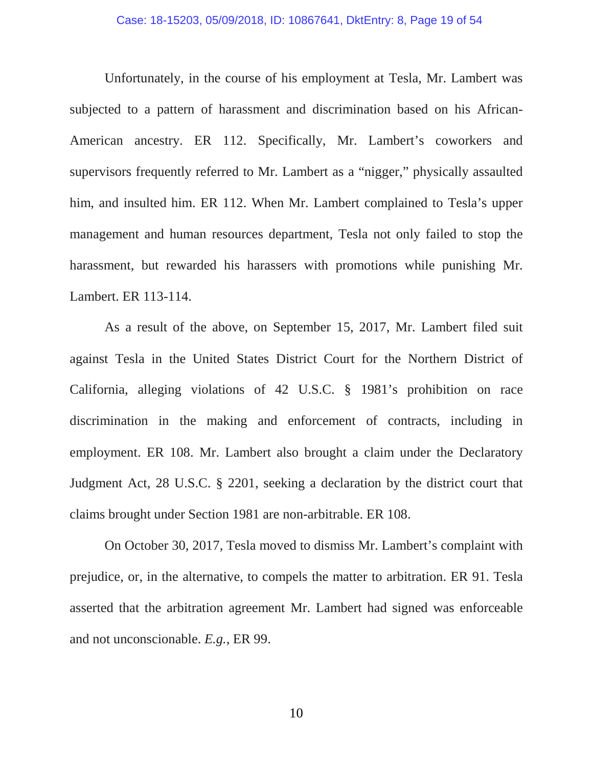Unfortunately, in the course of his employment at Tesla, Mr. Lambert was subjected to a pattern of harassment and discrimination based on his African-American ancestry. ER 112. Specifically, Mr. Lambert's coworkers and supervisors frequently referred to Mr. Lambert as a "nigger," physically assaulted him, and insulted him. ER 112. When Mr. Lambert complained to Tesla's upper management and human resources department, Tesla not only failed to stop the harassment, but rewarded his harassers with promotions while punishing Mr. Lambert. ER 113-114.

As a result of the above, on September 15, 2017, Mr. Lambert filed suit against Tesla in the United States District Court for the Northern District of California, alleging violations of 42 U.S.C. § 1981's prohibition on race discrimination in the making and enforcement of contracts, including in employment. ER 108. Mr. Lambert also brought a claim under the Declaratory Judgment Act, 28 U.S.C. § 2201, seeking a declaration by the district court that claims brought under Section 1981 are non-arbitrable. ER 108.

On October 30, 2017, Tesla moved to dismiss Mr. Lambert's complaint with prejudice, or, in the alternative, to compels the matter to arbitration. ER 91. Tesla asserted that the arbitration agreement Mr. Lambert had signed was enforceable and not unconscionable. *E.g.*, ER 99.

<span id="page-18-0"></span>10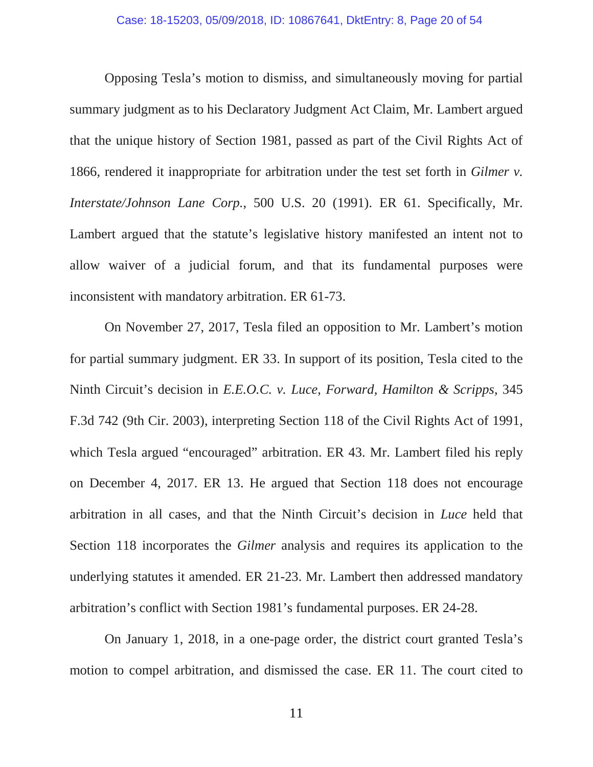Opposing Tesla's motion to dismiss, and simultaneously moving for partial summary judgment as to his Declaratory Judgment Act Claim, Mr. Lambert argued that the unique history of Section 1981, passed as part of the Civil Rights Act of 1866, rendered it inappropriate for arbitration under the test set forth in *Gilmer v. Interstate/Johnson Lane Corp.*, 500 U.S. 20 (1991). ER 61. Specifically, Mr. Lambert argued that the statute's legislative history manifested an intent not to allow waiver of a judicial forum, and that its fundamental purposes were inconsistent with mandatory arbitration. ER 61-73.

<span id="page-19-0"></span>On November 27, 2017, Tesla filed an opposition to Mr. Lambert's motion for partial summary judgment. ER 33. In support of its position, Tesla cited to the Ninth Circuit's decision in *E.E.O.C. v. Luce, Forward, Hamilton & Scripps*, 345 F.3d 742 (9th Cir. 2003), interpreting Section 118 of the Civil Rights Act of 1991, which Tesla argued "encouraged" arbitration. ER 43. Mr. Lambert filed his reply on December 4, 2017. ER 13. He argued that Section 118 does not encourage arbitration in all cases, and that the Ninth Circuit's decision in *Luce* held that Section 118 incorporates the *Gilmer* analysis and requires its application to the underlying statutes it amended. ER 21-23. Mr. Lambert then addressed mandatory arbitration's conflict with Section 1981's fundamental purposes. ER 24-28.

On January 1, 2018, in a one-page order, the district court granted Tesla's motion to compel arbitration, and dismissed the case. ER 11. The court cited to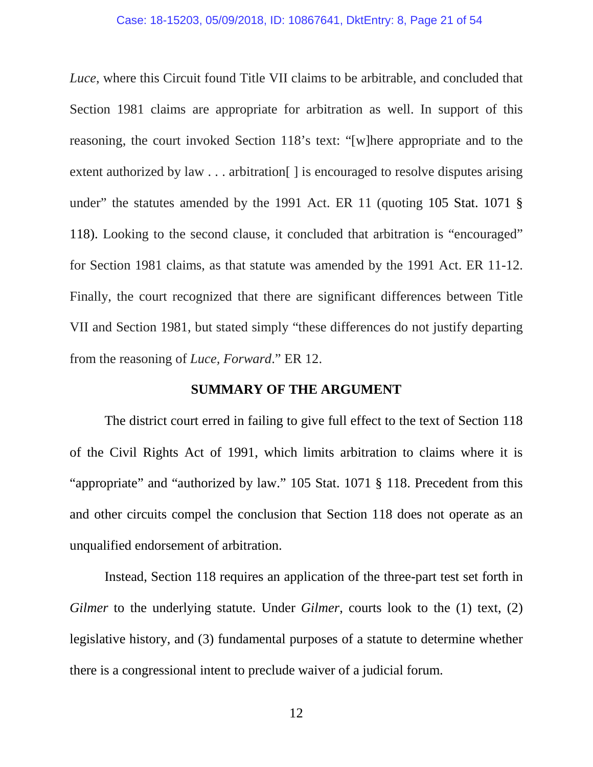#### Case: 18-15203, 05/09/2018, ID: 10867641, DktEntry: 8, Page 21 of 54

*Luce*, where this Circuit found Title VII claims to be arbitrable, and concluded that Section 1981 claims are appropriate for arbitration as well. In support of this reasoning, the court invoked Section 118's text: "[w]here appropriate and to the extent authorized by law . . . arbitration [ ] is encouraged to resolve disputes arising under" the statutes amended by the 1991 Act. ER 11 (quoting 105 Stat. 1071 § 118). Looking to the second clause, it concluded that arbitration is "encouraged" for Section 1981 claims, as that statute was amended by the 1991 Act. ER 11-12. Finally, the court recognized that there are significant differences between Title VII and Section 1981, but stated simply "these differences do not justify departing from the reasoning of *Luce, Forward*." ER 12.

#### **SUMMARY OF THE ARGUMENT**

The district court erred in failing to give full effect to the text of Section 118 of the Civil Rights Act of 1991, which limits arbitration to claims where it is "appropriate" and "authorized by law." 105 Stat. 1071 § 118. Precedent from this and other circuits compel the conclusion that Section 118 does not operate as an unqualified endorsement of arbitration.

Instead, Section 118 requires an application of the three-part test set forth in *Gilmer* to the underlying statute. Under *Gilmer*, courts look to the (1) text, (2) legislative history, and (3) fundamental purposes of a statute to determine whether there is a congressional intent to preclude waiver of a judicial forum.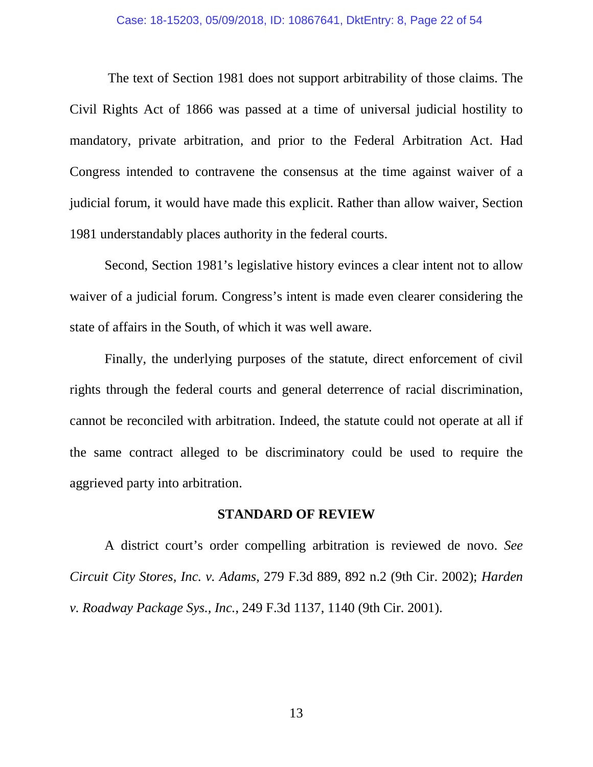#### Case: 18-15203, 05/09/2018, ID: 10867641, DktEntry: 8, Page 22 of 54

<span id="page-21-2"></span>The text of Section 1981 does not support arbitrability of those claims. The Civil Rights Act of 1866 was passed at a time of universal judicial hostility to mandatory, private arbitration, and prior to the Federal Arbitration Act. Had Congress intended to contravene the consensus at the time against waiver of a judicial forum, it would have made this explicit. Rather than allow waiver, Section 1981 understandably places authority in the federal courts.

Second, Section 1981's legislative history evinces a clear intent not to allow waiver of a judicial forum. Congress's intent is made even clearer considering the state of affairs in the South, of which it was well aware.

Finally, the underlying purposes of the statute, direct enforcement of civil rights through the federal courts and general deterrence of racial discrimination, cannot be reconciled with arbitration. Indeed, the statute could not operate at all if the same contract alleged to be discriminatory could be used to require the aggrieved party into arbitration.

#### <span id="page-21-1"></span>**STANDARD OF REVIEW**

<span id="page-21-0"></span>A district court's order compelling arbitration is reviewed de novo. *See Circuit City Stores, Inc. v. Adams*, 279 F.3d 889, 892 n.2 (9th Cir. 2002); *Harden v. Roadway Package Sys., Inc.*, 249 F.3d 1137, 1140 (9th Cir. 2001).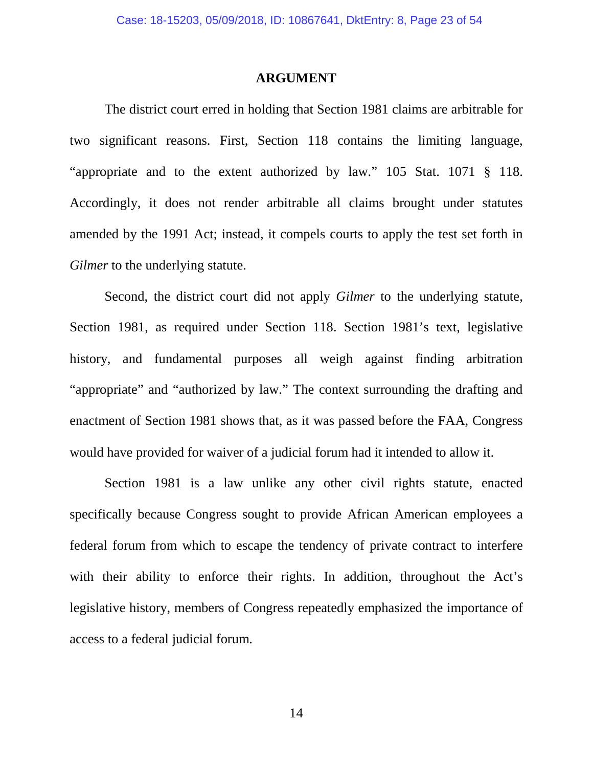#### **ARGUMENT**

The district court erred in holding that Section 1981 claims are arbitrable for two significant reasons. First, Section 118 contains the limiting language, "appropriate and to the extent authorized by law." 105 Stat. 1071 § 118. Accordingly, it does not render arbitrable all claims brought under statutes amended by the 1991 Act; instead, it compels courts to apply the test set forth in *Gilmer* to the underlying statute.

Second, the district court did not apply *Gilmer* to the underlying statute, Section 1981, as required under Section 118. Section 1981's text, legislative history, and fundamental purposes all weigh against finding arbitration "appropriate" and "authorized by law." The context surrounding the drafting and enactment of Section 1981 shows that, as it was passed before the FAA, Congress would have provided for waiver of a judicial forum had it intended to allow it.

Section 1981 is a law unlike any other civil rights statute, enacted specifically because Congress sought to provide African American employees a federal forum from which to escape the tendency of private contract to interfere with their ability to enforce their rights. In addition, throughout the Act's legislative history, members of Congress repeatedly emphasized the importance of access to a federal judicial forum.

14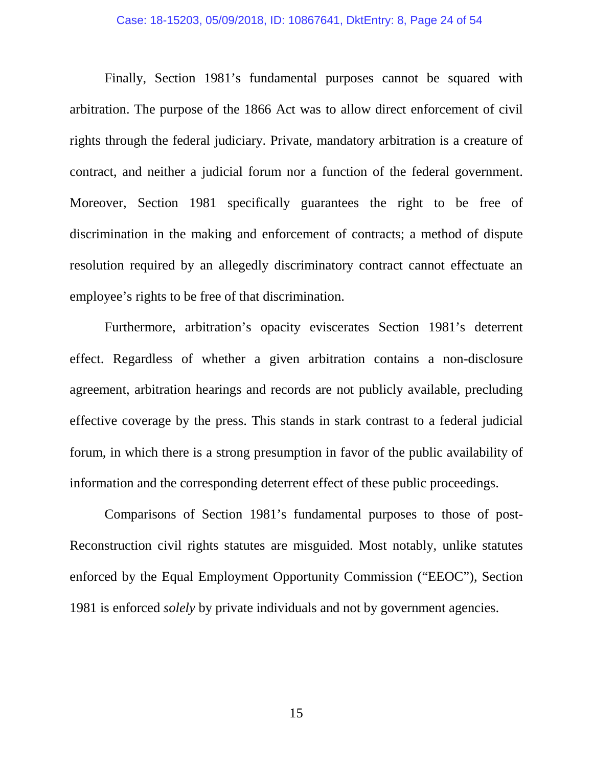Finally, Section 1981's fundamental purposes cannot be squared with arbitration. The purpose of the 1866 Act was to allow direct enforcement of civil rights through the federal judiciary. Private, mandatory arbitration is a creature of contract, and neither a judicial forum nor a function of the federal government. Moreover, Section 1981 specifically guarantees the right to be free of discrimination in the making and enforcement of contracts; a method of dispute resolution required by an allegedly discriminatory contract cannot effectuate an employee's rights to be free of that discrimination.

Furthermore, arbitration's opacity eviscerates Section 1981's deterrent effect. Regardless of whether a given arbitration contains a non-disclosure agreement, arbitration hearings and records are not publicly available, precluding effective coverage by the press. This stands in stark contrast to a federal judicial forum, in which there is a strong presumption in favor of the public availability of information and the corresponding deterrent effect of these public proceedings.

Comparisons of Section 1981's fundamental purposes to those of post-Reconstruction civil rights statutes are misguided. Most notably, unlike statutes enforced by the Equal Employment Opportunity Commission ("EEOC"), Section 1981 is enforced *solely* by private individuals and not by government agencies.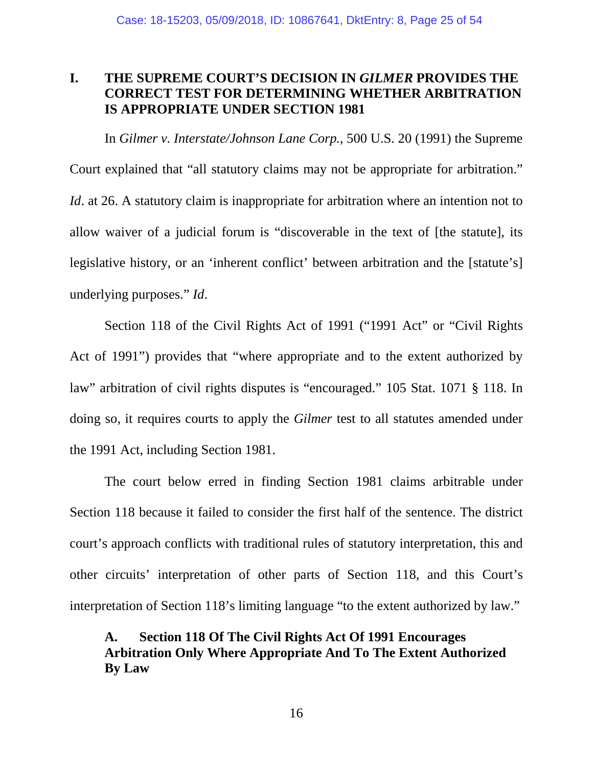## **I. THE SUPREME COURT'S DECISION IN** *GILMER* **PROVIDES THE CORRECT TEST FOR DETERMINING WHETHER ARBITRATION IS APPROPRIATE UNDER SECTION 1981**

In *Gilmer v. Interstate/Johnson Lane Corp.*, 500 U.S. 20 (1991) the Supreme Court explained that "all statutory claims may not be appropriate for arbitration." *Id*. at 26. A statutory claim is inappropriate for arbitration where an intention not to allow waiver of a judicial forum is "discoverable in the text of [the statute], its legislative history, or an 'inherent conflict' between arbitration and the [statute's] underlying purposes." *Id*.

Section 118 of the Civil Rights Act of 1991 ("1991 Act" or "Civil Rights Act of 1991") provides that "where appropriate and to the extent authorized by law" arbitration of civil rights disputes is "encouraged." 105 Stat. 1071 § 118. In doing so, it requires courts to apply the *Gilmer* test to all statutes amended under the 1991 Act, including Section 1981.

The court below erred in finding Section 1981 claims arbitrable under Section 118 because it failed to consider the first half of the sentence. The district court's approach conflicts with traditional rules of statutory interpretation, this and other circuits' interpretation of other parts of Section 118, and this Court's interpretation of Section 118's limiting language "to the extent authorized by law."

## <span id="page-24-0"></span>**A. Section 118 Of The Civil Rights Act Of 1991 Encourages Arbitration Only Where Appropriate And To The Extent Authorized By Law**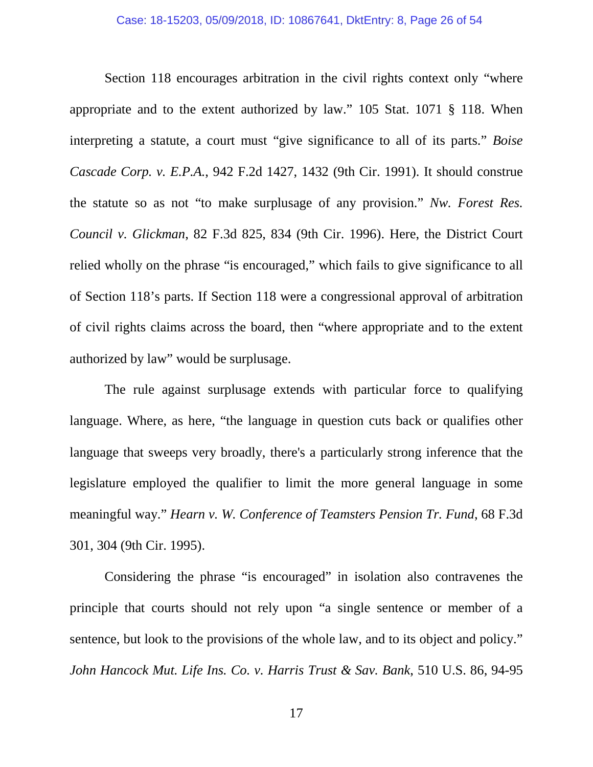<span id="page-25-3"></span><span id="page-25-0"></span>Section 118 encourages arbitration in the civil rights context only "where appropriate and to the extent authorized by law." 105 Stat. 1071 § 118. When interpreting a statute, a court must "give significance to all of its parts." *Boise Cascade Corp. v. E.P.A.*, 942 F.2d 1427, 1432 (9th Cir. 1991). It should construe the statute so as not "to make surplusage of any provision." *Nw. Forest Res. Council v. Glickman*, 82 F.3d 825, 834 (9th Cir. 1996). Here, the District Court relied wholly on the phrase "is encouraged," which fails to give significance to all of Section 118's parts. If Section 118 were a congressional approval of arbitration of civil rights claims across the board, then "where appropriate and to the extent authorized by law" would be surplusage.

The rule against surplusage extends with particular force to qualifying language. Where, as here, "the language in question cuts back or qualifies other language that sweeps very broadly, there's a particularly strong inference that the legislature employed the qualifier to limit the more general language in some meaningful way." *Hearn v. W. Conference of Teamsters Pension Tr. Fund*, 68 F.3d 301, 304 (9th Cir. 1995).

<span id="page-25-2"></span><span id="page-25-1"></span>Considering the phrase "is encouraged" in isolation also contravenes the principle that courts should not rely upon "a single sentence or member of a sentence, but look to the provisions of the whole law, and to its object and policy." *John Hancock Mut. Life Ins. Co. v. Harris Trust & Sav. Bank*, 510 U.S. 86, 94-95

17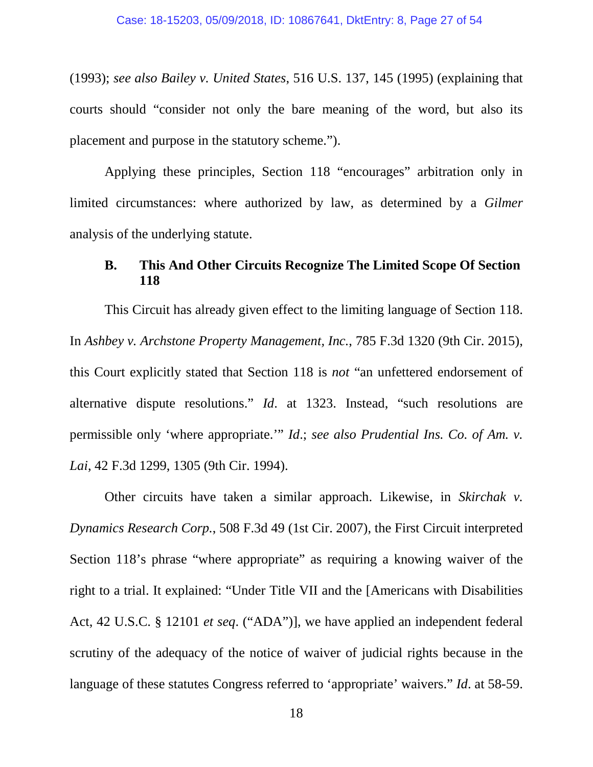<span id="page-26-1"></span>(1993); *see also Bailey v. United States*, 516 U.S. 137, 145 (1995) (explaining that courts should "consider not only the bare meaning of the word, but also its placement and purpose in the statutory scheme.").

Applying these principles, Section 118 "encourages" arbitration only in limited circumstances: where authorized by law, as determined by a *Gilmer* analysis of the underlying statute.

## **B. This And Other Circuits Recognize The Limited Scope Of Section 118**

<span id="page-26-0"></span>This Circuit has already given effect to the limiting language of Section 118. In *Ashbey v. Archstone Property Management, Inc.*, 785 F.3d 1320 (9th Cir. 2015), this Court explicitly stated that Section 118 is *not* "an unfettered endorsement of alternative dispute resolutions." *Id*. at 1323. Instead, "such resolutions are permissible only 'where appropriate.'" *Id*.; *see also Prudential Ins. Co. of Am. v. Lai*, 42 F.3d 1299, 1305 (9th Cir. 1994).

<span id="page-26-4"></span><span id="page-26-3"></span><span id="page-26-2"></span>Other circuits have taken a similar approach. Likewise, in *Skirchak v. Dynamics Research Corp.*, 508 F.3d 49 (1st Cir. 2007), the First Circuit interpreted Section 118's phrase "where appropriate" as requiring a knowing waiver of the right to a trial. It explained: "Under Title VII and the [Americans with Disabilities Act, 42 U.S.C. § 12101 *et seq*. ("ADA")], we have applied an independent federal scrutiny of the adequacy of the notice of waiver of judicial rights because in the language of these statutes Congress referred to 'appropriate' waivers." *Id*. at 58-59.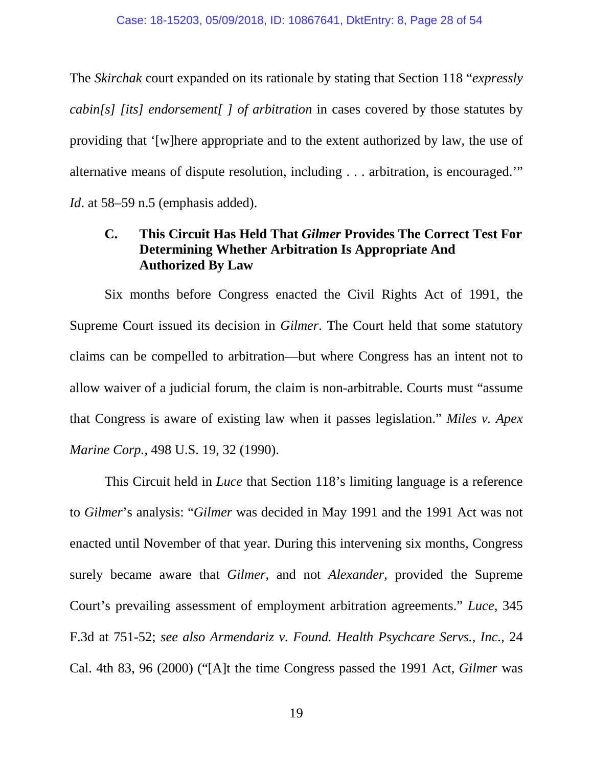The *Skirchak* court expanded on its rationale by stating that Section 118 "*expressly cabin[s] [its] endorsement[ ] of arbitration* in cases covered by those statutes by providing that '[w]here appropriate and to the extent authorized by law, the use of alternative means of dispute resolution, including . . . arbitration, is encouraged.'" *Id*. at 58–59 n.5 (emphasis added).

## **C. This Circuit Has Held That** *Gilmer* **Provides The Correct Test For Determining Whether Arbitration Is Appropriate And Authorized By Law**

Six months before Congress enacted the Civil Rights Act of 1991, the Supreme Court issued its decision in *Gilmer*. The Court held that some statutory claims can be compelled to arbitration—but where Congress has an intent not to allow waiver of a judicial forum, the claim is non-arbitrable. Courts must "assume that Congress is aware of existing law when it passes legislation." *Miles v. Apex Marine Corp.*, 498 U.S. 19, 32 (1990).

<span id="page-27-2"></span><span id="page-27-1"></span><span id="page-27-0"></span>This Circuit held in *Luce* that Section 118's limiting language is a reference to *Gilmer*'s analysis: "*Gilmer* was decided in May 1991 and the 1991 Act was not enacted until November of that year. During this intervening six months, Congress surely became aware that *Gilmer*, and not *Alexander*, provided the Supreme Court's prevailing assessment of employment arbitration agreements." *Luce*, 345 F.3d at 751-52; *see also Armendariz v. Found. Health Psychcare Servs., Inc.*, 24 Cal. 4th 83, 96 (2000) ("[A]t the time Congress passed the 1991 Act, *Gilmer* was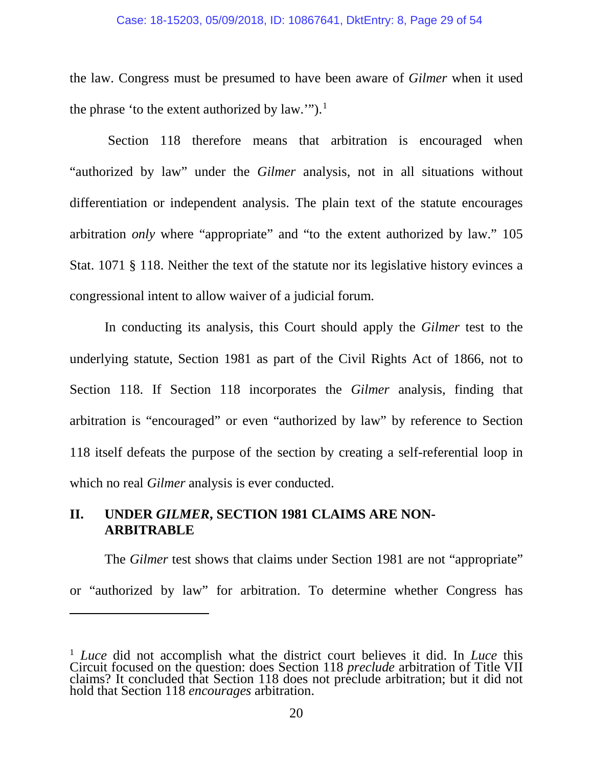#### Case: 18-15203, 05/09/2018, ID: 10867641, DktEntry: 8, Page 29 of 54

the law. Congress must be presumed to have been aware of *Gilmer* when it used the phrase 'to the extent authorized by law."").<sup>[1](#page-28-2)</sup>

Section 118 therefore means that arbitration is encouraged when "authorized by law" under the *Gilmer* analysis, not in all situations without differentiation or independent analysis. The plain text of the statute encourages arbitration *only* where "appropriate" and "to the extent authorized by law." 105 Stat. 1071 § 118. Neither the text of the statute nor its legislative history evinces a congressional intent to allow waiver of a judicial forum.

<span id="page-28-1"></span><span id="page-28-0"></span>In conducting its analysis, this Court should apply the *Gilmer* test to the underlying statute, Section 1981 as part of the Civil Rights Act of 1866, not to Section 118. If Section 118 incorporates the *Gilmer* analysis, finding that arbitration is "encouraged" or even "authorized by law" by reference to Section 118 itself defeats the purpose of the section by creating a self-referential loop in which no real *Gilmer* analysis is ever conducted.

## **II. UNDER** *GILMER***, SECTION 1981 CLAIMS ARE NON-ARBITRABLE**

 $\overline{a}$ 

The *Gilmer* test shows that claims under Section 1981 are not "appropriate" or "authorized by law" for arbitration. To determine whether Congress has

<span id="page-28-2"></span><sup>1</sup> *Luce* did not accomplish what the district court believes it did. In *Luce* this Circuit focused on the question: does Section 118 *preclude* arbitration of Title VII claims? It concluded that Section 118 does not preclude arbitration; but it did not hold that Section 118 *encourages* arbitration.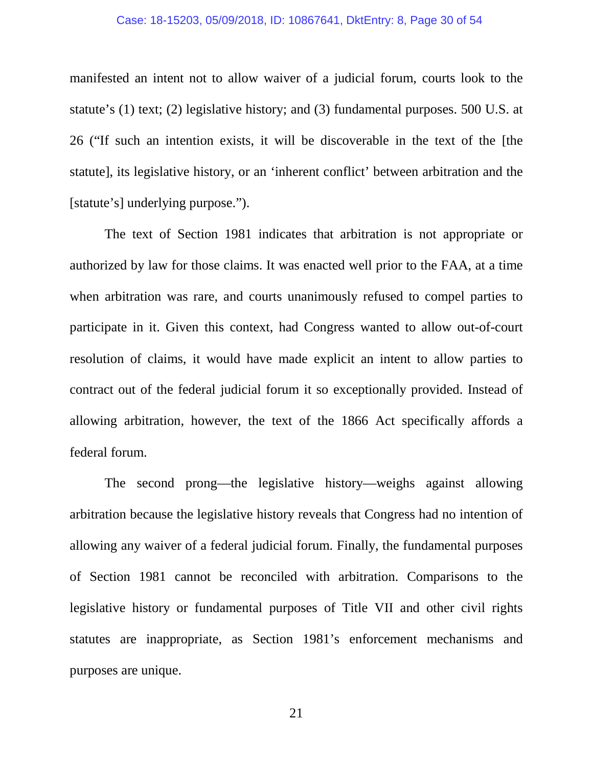#### Case: 18-15203, 05/09/2018, ID: 10867641, DktEntry: 8, Page 30 of 54

manifested an intent not to allow waiver of a judicial forum, courts look to the statute's (1) text; (2) legislative history; and (3) fundamental purposes. 500 U.S. at 26 ("If such an intention exists, it will be discoverable in the text of the [the statute], its legislative history, or an 'inherent conflict' between arbitration and the [statute's] underlying purpose.").

The text of Section 1981 indicates that arbitration is not appropriate or authorized by law for those claims. It was enacted well prior to the FAA, at a time when arbitration was rare, and courts unanimously refused to compel parties to participate in it. Given this context, had Congress wanted to allow out-of-court resolution of claims, it would have made explicit an intent to allow parties to contract out of the federal judicial forum it so exceptionally provided. Instead of allowing arbitration, however, the text of the 1866 Act specifically affords a federal forum.

The second prong—the legislative history—weighs against allowing arbitration because the legislative history reveals that Congress had no intention of allowing any waiver of a federal judicial forum. Finally, the fundamental purposes of Section 1981 cannot be reconciled with arbitration. Comparisons to the legislative history or fundamental purposes of Title VII and other civil rights statutes are inappropriate, as Section 1981's enforcement mechanisms and purposes are unique.

21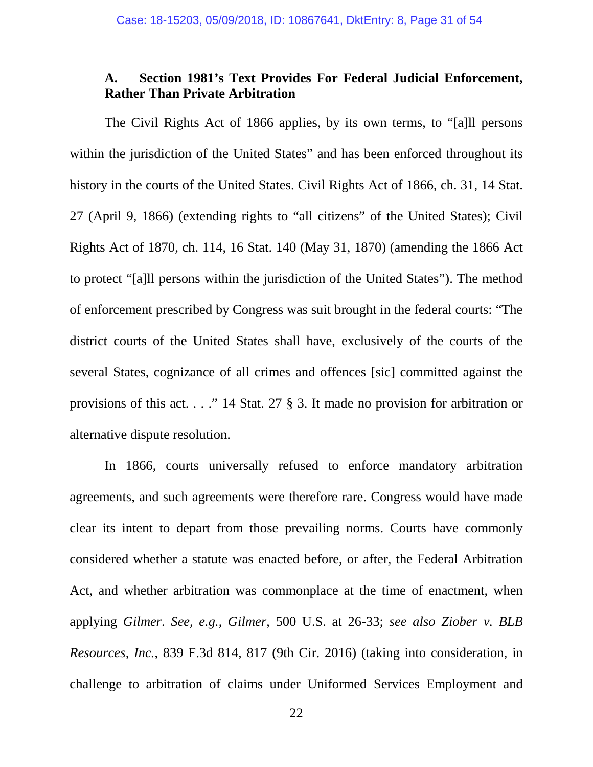## <span id="page-30-2"></span><span id="page-30-1"></span>**A. Section 1981's Text Provides For Federal Judicial Enforcement, Rather Than Private Arbitration**

The Civil Rights Act of 1866 applies, by its own terms, to "[a]ll persons within the jurisdiction of the United States" and has been enforced throughout its history in the courts of the United States. Civil Rights Act of 1866, ch. 31, 14 Stat. 27 (April 9, 1866) (extending rights to "all citizens" of the United States); Civil Rights Act of 1870, ch. 114, 16 Stat. 140 (May 31, 1870) (amending the 1866 Act to protect "[a]ll persons within the jurisdiction of the United States"). The method of enforcement prescribed by Congress was suit brought in the federal courts: "The district courts of the United States shall have, exclusively of the courts of the several States, cognizance of all crimes and offences [sic] committed against the provisions of this act. . . ." 14 Stat. 27 § 3. It made no provision for arbitration or alternative dispute resolution.

<span id="page-30-3"></span><span id="page-30-0"></span>In 1866, courts universally refused to enforce mandatory arbitration agreements, and such agreements were therefore rare. Congress would have made clear its intent to depart from those prevailing norms. Courts have commonly considered whether a statute was enacted before, or after, the Federal Arbitration Act, and whether arbitration was commonplace at the time of enactment, when applying *Gilmer*. *See, e.g.*, *Gilmer*, 500 U.S. at 26-33; *see also Ziober v. BLB Resources, Inc.*, 839 F.3d 814, 817 (9th Cir. 2016) (taking into consideration, in challenge to arbitration of claims under Uniformed Services Employment and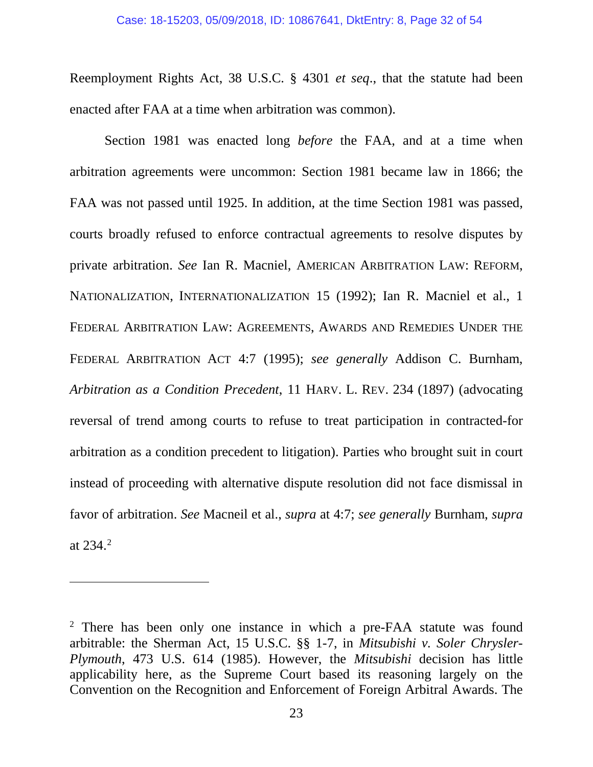Reemployment Rights Act, 38 U.S.C. § 4301 *et seq*., that the statute had been enacted after FAA at a time when arbitration was common).

<span id="page-31-3"></span><span id="page-31-2"></span>Section 1981 was enacted long *before* the FAA, and at a time when arbitration agreements were uncommon: Section 1981 became law in 1866; the FAA was not passed until 1925. In addition, at the time Section 1981 was passed, courts broadly refused to enforce contractual agreements to resolve disputes by private arbitration. *See* Ian R. Macniel, AMERICAN ARBITRATION LAW: REFORM, NATIONALIZATION, INTERNATIONALIZATION 15 (1992); Ian R. Macniel et al., 1 FEDERAL ARBITRATION LAW: AGREEMENTS, AWARDS AND REMEDIES UNDER THE FEDERAL ARBITRATION ACT 4:7 (1995); *see generally* Addison C. Burnham, *Arbitration as a Condition Precedent*, 11 HARV. L. REV. 234 (1897) (advocating reversal of trend among courts to refuse to treat participation in contracted-for arbitration as a condition precedent to litigation). Parties who brought suit in court instead of proceeding with alternative dispute resolution did not face dismissal in favor of arbitration. *See* Macneil et al., *supra* at 4:7; *see generally* Burnham, *supra*  at 234. [2](#page-31-4)

 $\overline{a}$ 

<span id="page-31-4"></span><span id="page-31-1"></span><span id="page-31-0"></span><sup>&</sup>lt;sup>2</sup> There has been only one instance in which a pre-FAA statute was found arbitrable: the Sherman Act, 15 U.S.C. §§ 1-7, in *Mitsubishi v. Soler Chrysler-Plymouth*, 473 U.S. 614 (1985). However, the *Mitsubishi* decision has little applicability here, as the Supreme Court based its reasoning largely on the Convention on the Recognition and Enforcement of Foreign Arbitral Awards. The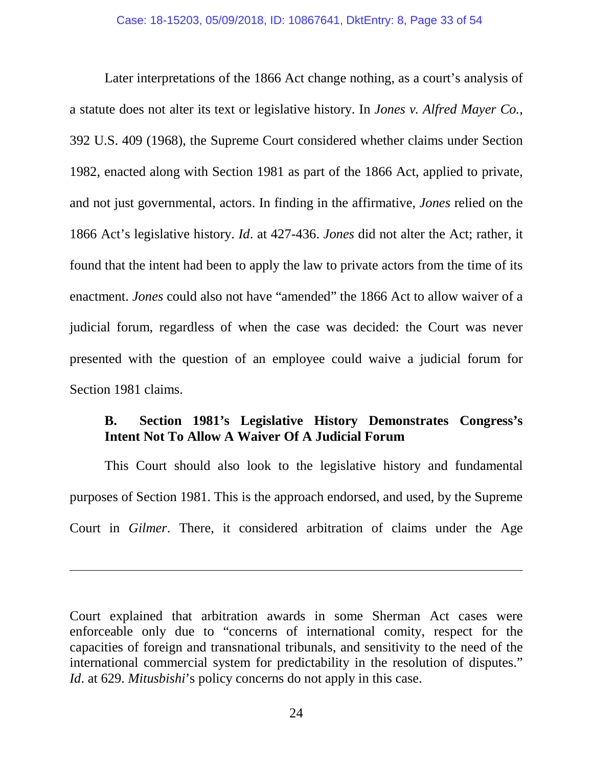<span id="page-32-0"></span>Later interpretations of the 1866 Act change nothing, as a court's analysis of a statute does not alter its text or legislative history. In *Jones v. Alfred Mayer Co.*, 392 U.S. 409 (1968), the Supreme Court considered whether claims under Section 1982, enacted along with Section 1981 as part of the 1866 Act, applied to private, and not just governmental, actors. In finding in the affirmative, *Jones* relied on the 1866 Act's legislative history. *Id*. at 427-436. *Jones* did not alter the Act; rather, it found that the intent had been to apply the law to private actors from the time of its enactment. *Jones* could also not have "amended" the 1866 Act to allow waiver of a judicial forum, regardless of when the case was decided: the Court was never presented with the question of an employee could waive a judicial forum for Section 1981 claims.

## <span id="page-32-1"></span>**B. Section 1981's Legislative History Demonstrates Congress's Intent Not To Allow A Waiver Of A Judicial Forum**

This Court should also look to the legislative history and fundamental purposes of Section 1981. This is the approach endorsed, and used, by the Supreme Court in *Gilmer*. There, it considered arbitration of claims under the Age

 $\overline{a}$ 

Court explained that arbitration awards in some Sherman Act cases were enforceable only due to "concerns of international comity, respect for the capacities of foreign and transnational tribunals, and sensitivity to the need of the international commercial system for predictability in the resolution of disputes." *Id*. at 629. *Mitusbishi*'s policy concerns do not apply in this case.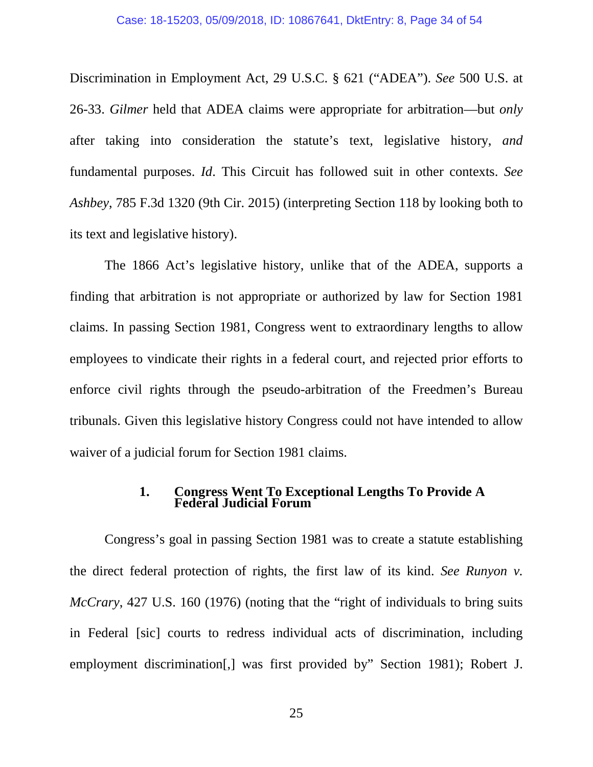Discrimination in Employment Act, 29 U.S.C. § 621 ("ADEA"). *See* 500 U.S. at 26-33. *Gilmer* held that ADEA claims were appropriate for arbitration—but *only* after taking into consideration the statute's text, legislative history, *and*  fundamental purposes. *Id*. This Circuit has followed suit in other contexts. *See Ashbey*, 785 F.3d 1320 (9th Cir. 2015) (interpreting Section 118 by looking both to its text and legislative history).

The 1866 Act's legislative history, unlike that of the ADEA, supports a finding that arbitration is not appropriate or authorized by law for Section 1981 claims. In passing Section 1981, Congress went to extraordinary lengths to allow employees to vindicate their rights in a federal court, and rejected prior efforts to enforce civil rights through the pseudo-arbitration of the Freedmen's Bureau tribunals. Given this legislative history Congress could not have intended to allow waiver of a judicial forum for Section 1981 claims.

#### <span id="page-33-0"></span>**1. Congress Went To Exceptional Lengths To Provide A Federal Judicial Forum**

Congress's goal in passing Section 1981 was to create a statute establishing the direct federal protection of rights, the first law of its kind. *See Runyon v. McCrary*, 427 U.S. 160 (1976) (noting that the "right of individuals to bring suits in Federal [sic] courts to redress individual acts of discrimination, including employment discrimination[,] was first provided by" Section 1981); Robert J.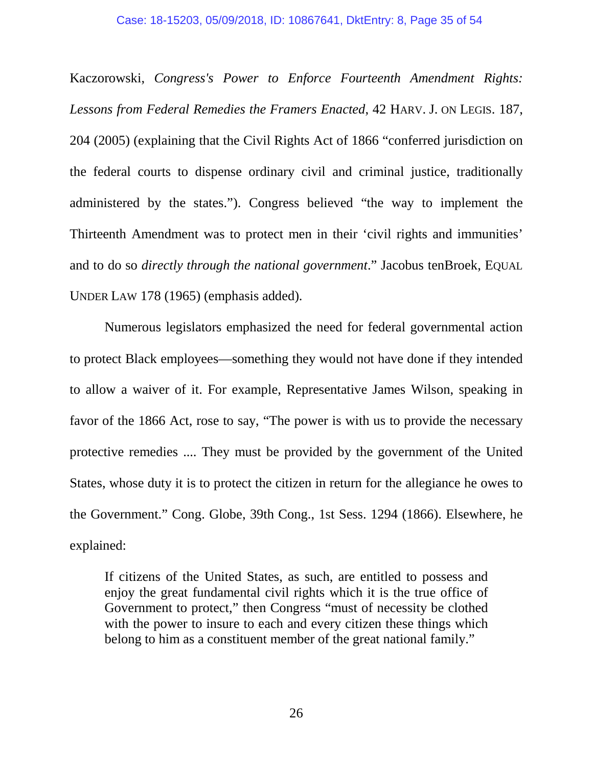<span id="page-34-0"></span>Kaczorowski, *Congress's Power to Enforce Fourteenth Amendment Rights: Lessons from Federal Remedies the Framers Enacted*, 42 HARV. J. ON LEGIS. 187, 204 (2005) (explaining that the Civil Rights Act of 1866 "conferred jurisdiction on the federal courts to dispense ordinary civil and criminal justice, traditionally administered by the states."). Congress believed "the way to implement the Thirteenth Amendment was to protect men in their 'civil rights and immunities' and to do so *directly through the national government*." Jacobus tenBroek, EQUAL UNDER LAW 178 (1965) (emphasis added).

<span id="page-34-1"></span>Numerous legislators emphasized the need for federal governmental action to protect Black employees—something they would not have done if they intended to allow a waiver of it. For example, Representative James Wilson, speaking in favor of the 1866 Act, rose to say, "The power is with us to provide the necessary protective remedies .... They must be provided by the government of the United States, whose duty it is to protect the citizen in return for the allegiance he owes to the Government." Cong. Globe, 39th Cong., 1st Sess. 1294 (1866). Elsewhere, he explained:

If citizens of the United States, as such, are entitled to possess and enjoy the great fundamental civil rights which it is the true office of Government to protect," then Congress "must of necessity be clothed with the power to insure to each and every citizen these things which belong to him as a constituent member of the great national family."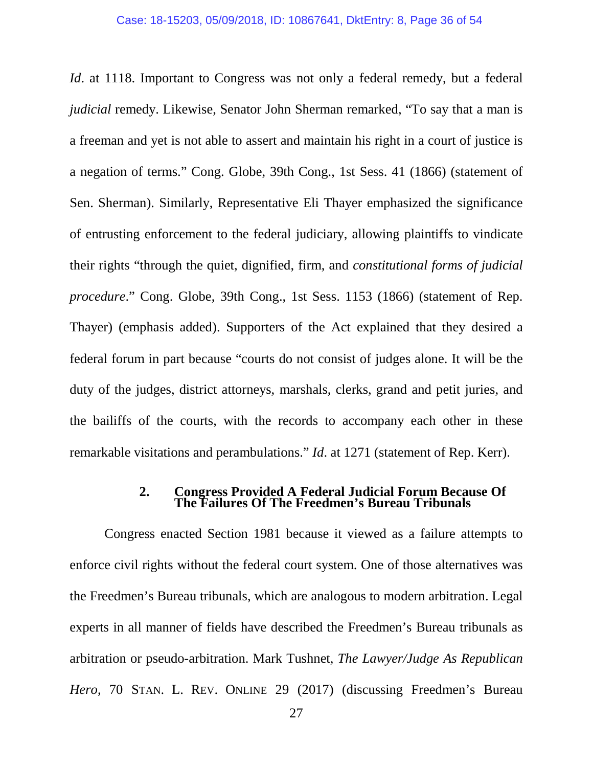<span id="page-35-0"></span>*Id.* at 1118. Important to Congress was not only a federal remedy, but a federal *judicial* remedy. Likewise, Senator John Sherman remarked, "To say that a man is a freeman and yet is not able to assert and maintain his right in a court of justice is a negation of terms." Cong. Globe, 39th Cong., 1st Sess. 41 (1866) (statement of Sen. Sherman). Similarly, Representative Eli Thayer emphasized the significance of entrusting enforcement to the federal judiciary, allowing plaintiffs to vindicate their rights "through the quiet, dignified, firm, and *constitutional forms of judicial procedure*." Cong. Globe, 39th Cong., 1st Sess. 1153 (1866) (statement of Rep. Thayer) (emphasis added). Supporters of the Act explained that they desired a federal forum in part because "courts do not consist of judges alone. It will be the duty of the judges, district attorneys, marshals, clerks, grand and petit juries, and the bailiffs of the courts, with the records to accompany each other in these remarkable visitations and perambulations." *Id*. at 1271 (statement of Rep. Kerr).

#### <span id="page-35-1"></span>**2. Congress Provided A Federal Judicial Forum Because Of The Failures Of The Freedmen's Bureau Tribunals**

Congress enacted Section 1981 because it viewed as a failure attempts to enforce civil rights without the federal court system. One of those alternatives was the Freedmen's Bureau tribunals, which are analogous to modern arbitration. Legal experts in all manner of fields have described the Freedmen's Bureau tribunals as arbitration or pseudo-arbitration. Mark Tushnet, *The Lawyer/Judge As Republican Hero*, 70 STAN. L. REV. ONLINE 29 (2017) (discussing Freedmen's Bureau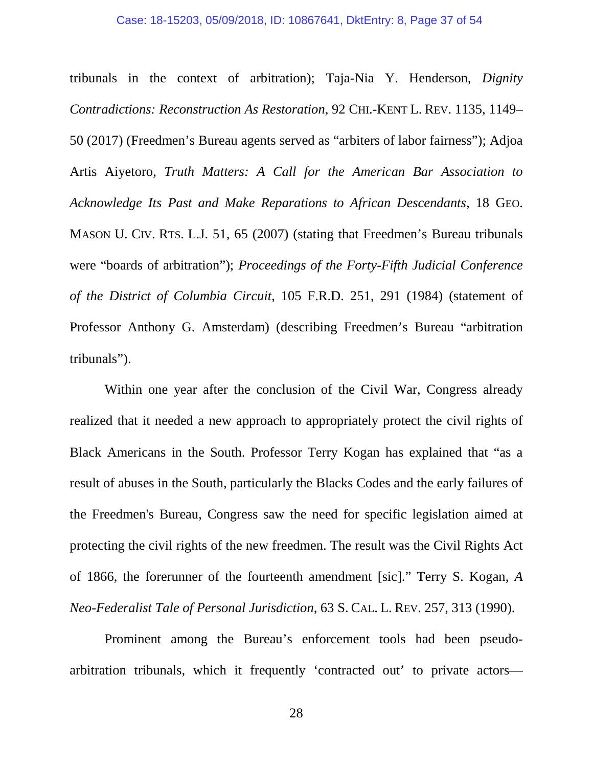<span id="page-36-2"></span><span id="page-36-1"></span>tribunals in the context of arbitration); Taja-Nia Y. Henderson, *Dignity Contradictions: Reconstruction As Restoration*, 92 CHI.-KENT L. REV. 1135, 1149– 50 (2017) (Freedmen's Bureau agents served as "arbiters of labor fairness"); Adjoa Artis Aiyetoro, *Truth Matters: A Call for the American Bar Association to Acknowledge Its Past and Make Reparations to African Descendants*, 18 GEO. MASON U. CIV. RTS. L.J. 51, 65 (2007) (stating that Freedmen's Bureau tribunals were "boards of arbitration"); *Proceedings of the Forty-Fifth Judicial Conference of the District of Columbia Circuit*, 105 F.R.D. 251, 291 (1984) (statement of Professor Anthony G. Amsterdam) (describing Freedmen's Bureau "arbitration tribunals").

Within one year after the conclusion of the Civil War, Congress already realized that it needed a new approach to appropriately protect the civil rights of Black Americans in the South. Professor Terry Kogan has explained that "as a result of abuses in the South, particularly the Blacks Codes and the early failures of the Freedmen's Bureau, Congress saw the need for specific legislation aimed at protecting the civil rights of the new freedmen. The result was the Civil Rights Act of 1866, the forerunner of the fourteenth amendment [sic]." Terry S. Kogan, *A Neo-Federalist Tale of Personal Jurisdiction*, 63 S. CAL. L. REV. 257, 313 (1990).

<span id="page-36-0"></span>Prominent among the Bureau's enforcement tools had been pseudoarbitration tribunals, which it frequently 'contracted out' to private actors—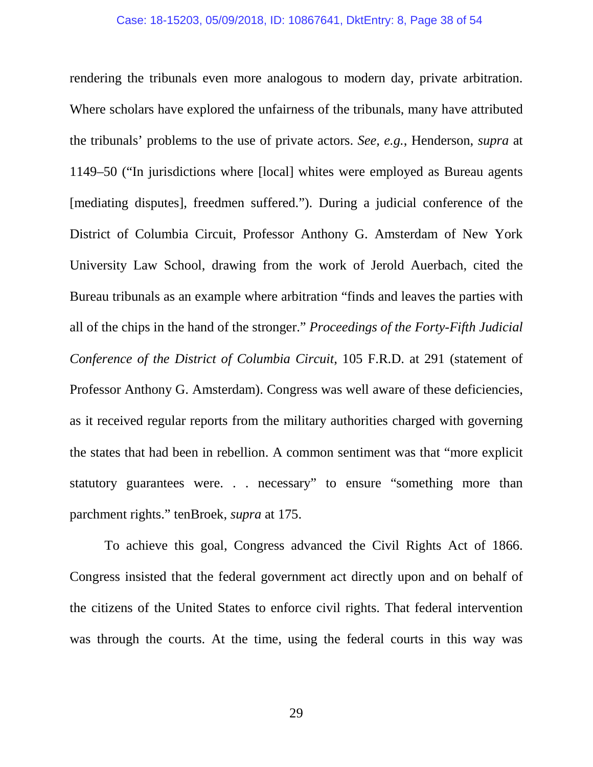rendering the tribunals even more analogous to modern day, private arbitration. Where scholars have explored the unfairness of the tribunals, many have attributed the tribunals' problems to the use of private actors. *See, e.g.*, Henderson, *supra* at 1149–50 ("In jurisdictions where [local] whites were employed as Bureau agents [mediating disputes], freedmen suffered."). During a judicial conference of the District of Columbia Circuit, Professor Anthony G. Amsterdam of New York University Law School, drawing from the work of Jerold Auerbach, cited the Bureau tribunals as an example where arbitration "finds and leaves the parties with all of the chips in the hand of the stronger." *Proceedings of the Forty-Fifth Judicial Conference of the District of Columbia Circuit*, 105 F.R.D. at 291 (statement of Professor Anthony G. Amsterdam). Congress was well aware of these deficiencies, as it received regular reports from the military authorities charged with governing the states that had been in rebellion. A common sentiment was that "more explicit statutory guarantees were. . . necessary" to ensure "something more than parchment rights." tenBroek, *supra* at 175.

<span id="page-37-0"></span>To achieve this goal, Congress advanced the Civil Rights Act of 1866. Congress insisted that the federal government act directly upon and on behalf of the citizens of the United States to enforce civil rights. That federal intervention was through the courts. At the time, using the federal courts in this way was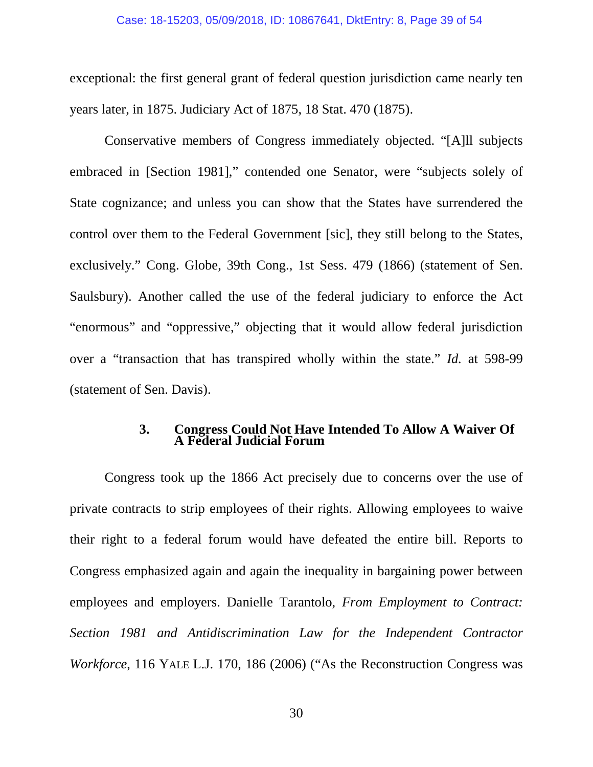#### Case: 18-15203, 05/09/2018, ID: 10867641, DktEntry: 8, Page 39 of 54

<span id="page-38-0"></span>exceptional: the first general grant of federal question jurisdiction came nearly ten years later, in 1875. Judiciary Act of 1875, 18 Stat. 470 (1875).

Conservative members of Congress immediately objected. "[A]ll subjects embraced in [Section 1981]," contended one Senator, were "subjects solely of State cognizance; and unless you can show that the States have surrendered the control over them to the Federal Government [sic], they still belong to the States, exclusively." Cong. Globe, 39th Cong., 1st Sess. 479 (1866) (statement of Sen. Saulsbury). Another called the use of the federal judiciary to enforce the Act "enormous" and "oppressive," objecting that it would allow federal jurisdiction over a "transaction that has transpired wholly within the state." *Id.* at 598-99 (statement of Sen. Davis).

#### **3. Congress Could Not Have Intended To Allow A Waiver Of A Federal Judicial Forum**

Congress took up the 1866 Act precisely due to concerns over the use of private contracts to strip employees of their rights. Allowing employees to waive their right to a federal forum would have defeated the entire bill. Reports to Congress emphasized again and again the inequality in bargaining power between employees and employers. Danielle Tarantolo, *From Employment to Contract: Section 1981 and Antidiscrimination Law for the Independent Contractor Workforce*, 116 YALE L.J. 170, 186 (2006) ("As the Reconstruction Congress was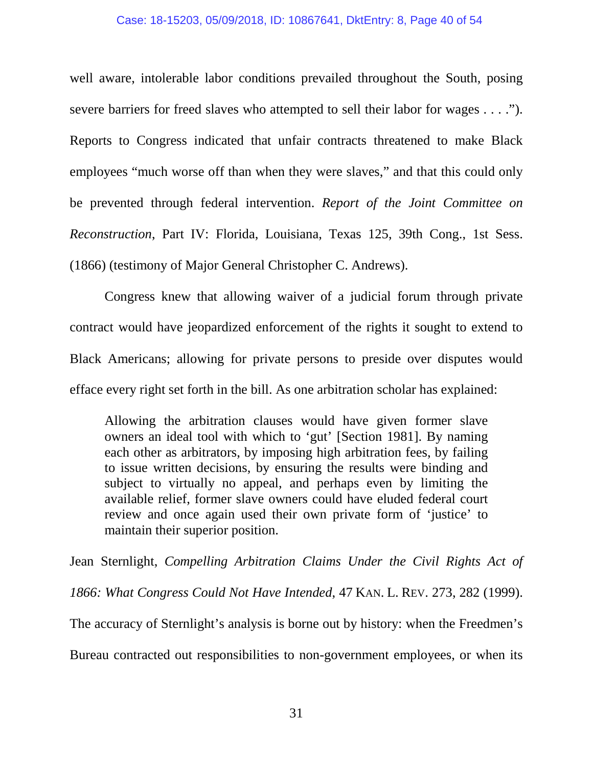#### Case: 18-15203, 05/09/2018, ID: 10867641, DktEntry: 8, Page 40 of 54

well aware, intolerable labor conditions prevailed throughout the South, posing severe barriers for freed slaves who attempted to sell their labor for wages . . . ."). Reports to Congress indicated that unfair contracts threatened to make Black employees "much worse off than when they were slaves," and that this could only be prevented through federal intervention. *Report of the Joint Committee on Reconstruction*, Part IV: Florida, Louisiana, Texas 125, 39th Cong., 1st Sess. (1866) (testimony of Major General Christopher C. Andrews).

Congress knew that allowing waiver of a judicial forum through private contract would have jeopardized enforcement of the rights it sought to extend to Black Americans; allowing for private persons to preside over disputes would efface every right set forth in the bill. As one arbitration scholar has explained:

Allowing the arbitration clauses would have given former slave owners an ideal tool with which to 'gut' [Section 1981]. By naming each other as arbitrators, by imposing high arbitration fees, by failing to issue written decisions, by ensuring the results were binding and subject to virtually no appeal, and perhaps even by limiting the available relief, former slave owners could have eluded federal court review and once again used their own private form of 'justice' to maintain their superior position.

Jean Sternlight, *Compelling Arbitration Claims Under the Civil Rights Act of* 

*1866: What Congress Could Not Have Intended*, 47 KAN. L. REV. 273, 282 (1999).

The accuracy of Sternlight's analysis is borne out by history: when the Freedmen's

Bureau contracted out responsibilities to non-government employees, or when its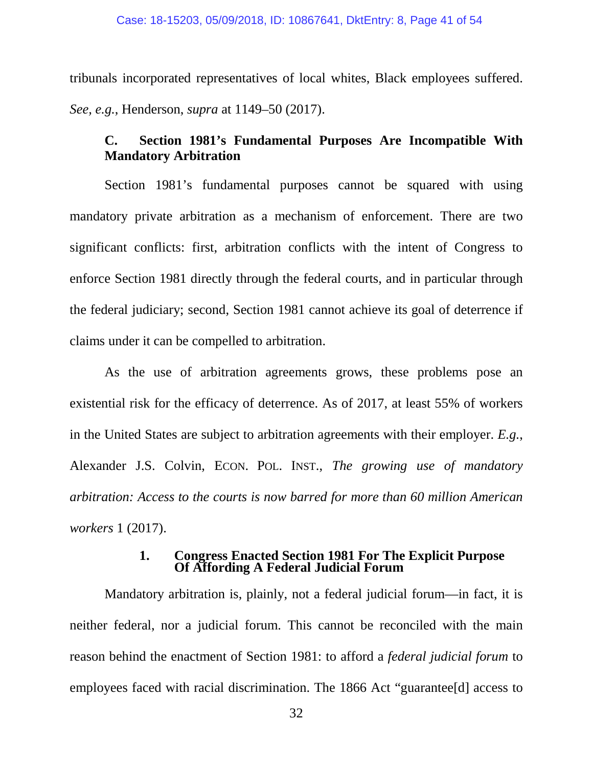tribunals incorporated representatives of local whites, Black employees suffered. *See, e.g.*, Henderson, *supra* at 1149–50 (2017).

## **C. Section 1981's Fundamental Purposes Are Incompatible With Mandatory Arbitration**

Section 1981's fundamental purposes cannot be squared with using mandatory private arbitration as a mechanism of enforcement. There are two significant conflicts: first, arbitration conflicts with the intent of Congress to enforce Section 1981 directly through the federal courts, and in particular through the federal judiciary; second, Section 1981 cannot achieve its goal of deterrence if claims under it can be compelled to arbitration.

As the use of arbitration agreements grows, these problems pose an existential risk for the efficacy of deterrence. As of 2017, at least 55% of workers in the United States are subject to arbitration agreements with their employer. *E.g.*, Alexander J.S. Colvin, ECON. POL. INST., *The growing use of mandatory arbitration: Access to the courts is now barred for more than 60 million American workers* 1 (2017).

# **1. Congress Enacted Section 1981 For The Explicit Purpose Of Affording A Federal Judicial Forum**

Mandatory arbitration is, plainly, not a federal judicial forum—in fact, it is neither federal, nor a judicial forum. This cannot be reconciled with the main reason behind the enactment of Section 1981: to afford a *federal judicial forum* to employees faced with racial discrimination. The 1866 Act "guarantee[d] access to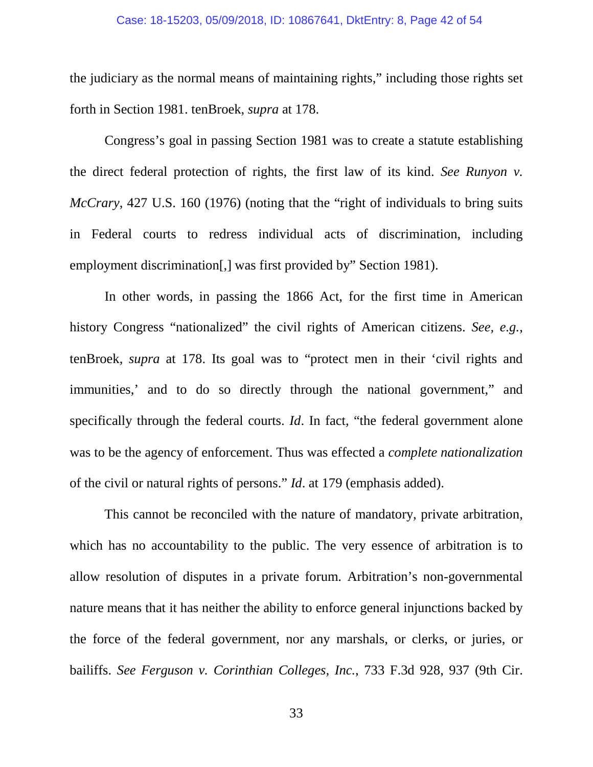#### <span id="page-41-1"></span>Case: 18-15203, 05/09/2018, ID: 10867641, DktEntry: 8, Page 42 of 54

the judiciary as the normal means of maintaining rights," including those rights set forth in Section 1981. tenBroek, *supra* at 178.

Congress's goal in passing Section 1981 was to create a statute establishing the direct federal protection of rights, the first law of its kind. *See Runyon v. McCrary*, 427 U.S. 160 (1976) (noting that the "right of individuals to bring suits in Federal courts to redress individual acts of discrimination, including employment discrimination[,] was first provided by" Section 1981).

In other words, in passing the 1866 Act, for the first time in American history Congress "nationalized" the civil rights of American citizens. *See, e.g.*, tenBroek, *supra* at 178. Its goal was to "protect men in their 'civil rights and immunities,' and to do so directly through the national government," and specifically through the federal courts. *Id*. In fact, "the federal government alone was to be the agency of enforcement. Thus was effected a *complete nationalization* of the civil or natural rights of persons." *Id*. at 179 (emphasis added).

This cannot be reconciled with the nature of mandatory, private arbitration, which has no accountability to the public. The very essence of arbitration is to allow resolution of disputes in a private forum. Arbitration's non-governmental nature means that it has neither the ability to enforce general injunctions backed by the force of the federal government, nor any marshals, or clerks, or juries, or bailiffs. *See Ferguson v. Corinthian Colleges, Inc.*, 733 F.3d 928, 937 (9th Cir.

<span id="page-41-0"></span>33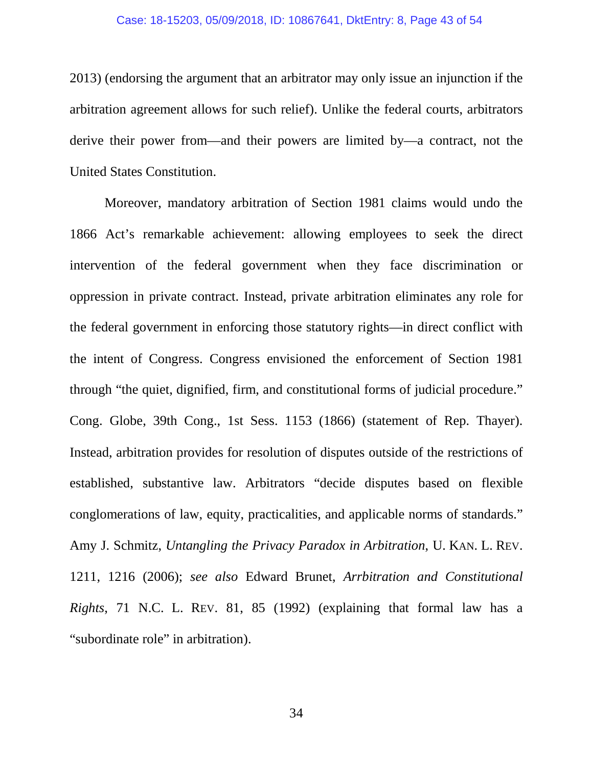#### Case: 18-15203, 05/09/2018, ID: 10867641, DktEntry: 8, Page 43 of 54

2013) (endorsing the argument that an arbitrator may only issue an injunction if the arbitration agreement allows for such relief). Unlike the federal courts, arbitrators derive their power from—and their powers are limited by—a contract, not the United States Constitution.

<span id="page-42-0"></span>Moreover, mandatory arbitration of Section 1981 claims would undo the 1866 Act's remarkable achievement: allowing employees to seek the direct intervention of the federal government when they face discrimination or oppression in private contract. Instead, private arbitration eliminates any role for the federal government in enforcing those statutory rights—in direct conflict with the intent of Congress. Congress envisioned the enforcement of Section 1981 through "the quiet, dignified, firm, and constitutional forms of judicial procedure." Cong. Globe, 39th Cong., 1st Sess. 1153 (1866) (statement of Rep. Thayer). Instead, arbitration provides for resolution of disputes outside of the restrictions of established, substantive law. Arbitrators "decide disputes based on flexible conglomerations of law, equity, practicalities, and applicable norms of standards." Amy J. Schmitz, *Untangling the Privacy Paradox in Arbitration*, U. KAN. L. REV. 1211, 1216 (2006); *see also* Edward Brunet, *Arrbitration and Constitutional Rights*, 71 N.C. L. REV. 81, 85 (1992) (explaining that formal law has a "subordinate role" in arbitration).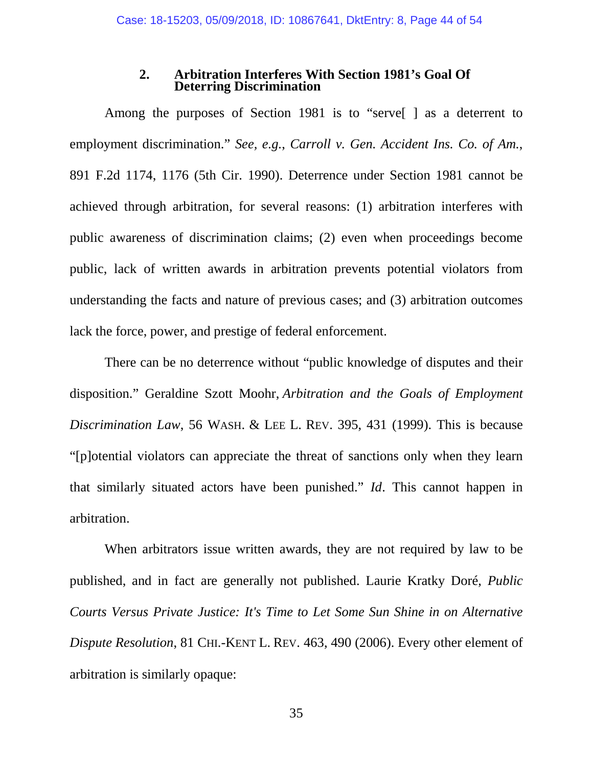#### <span id="page-43-0"></span>**2. Arbitration Interferes With Section 1981's Goal Of Deterring Discrimination**

Among the purposes of Section 1981 is to "serve[ ] as a deterrent to employment discrimination." *See, e.g.*, *Carroll v. Gen. Accident Ins. Co. of Am.*, 891 F.2d 1174, 1176 (5th Cir. 1990). Deterrence under Section 1981 cannot be achieved through arbitration, for several reasons: (1) arbitration interferes with public awareness of discrimination claims; (2) even when proceedings become public, lack of written awards in arbitration prevents potential violators from understanding the facts and nature of previous cases; and (3) arbitration outcomes lack the force, power, and prestige of federal enforcement.

<span id="page-43-1"></span>There can be no deterrence without "public knowledge of disputes and their disposition." Geraldine Szott Moohr, *Arbitration and the Goals of Employment Discrimination Law*, 56 WASH. & LEE L. REV. 395, 431 (1999). This is because "[p]otential violators can appreciate the threat of sanctions only when they learn that similarly situated actors have been punished." *Id*. This cannot happen in arbitration.

<span id="page-43-3"></span><span id="page-43-2"></span>When arbitrators issue written awards, they are not required by law to be published, and in fact are generally not published. Laurie Kratky Doré, *Public Courts Versus Private Justice: It's Time to Let Some Sun Shine in on Alternative Dispute Resolution*, 81 CHI.-KENT L. REV. 463, 490 (2006). Every other element of arbitration is similarly opaque: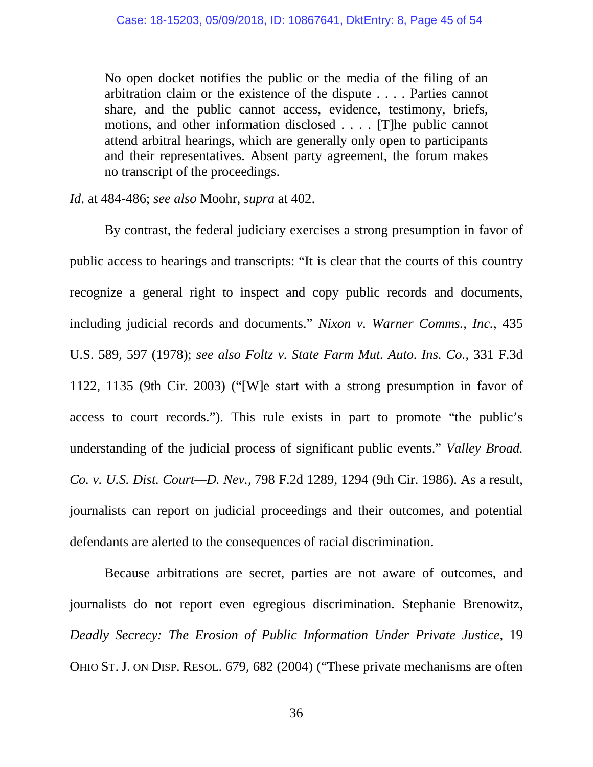No open docket notifies the public or the media of the filing of an arbitration claim or the existence of the dispute . . . . Parties cannot share, and the public cannot access, evidence, testimony, briefs, motions, and other information disclosed . . . . [T]he public cannot attend arbitral hearings, which are generally only open to participants and their representatives. Absent party agreement, the forum makes no transcript of the proceedings.

*Id*. at 484-486; *see also* Moohr, *supra* at 402.

<span id="page-44-1"></span><span id="page-44-0"></span>By contrast, the federal judiciary exercises a strong presumption in favor of public access to hearings and transcripts: "It is clear that the courts of this country recognize a general right to inspect and copy public records and documents, including judicial records and documents." *Nixon v. Warner Comms., Inc.*, 435 U.S. 589, 597 (1978); *see also Foltz v. State Farm Mut. Auto. Ins. Co.*, 331 F.3d 1122, 1135 (9th Cir. 2003) ("[W]e start with a strong presumption in favor of access to court records."). This rule exists in part to promote "the public's understanding of the judicial process of significant public events." *Valley Broad. Co. v. U.S. Dist. Court—D. Nev.,* 798 F.2d 1289, 1294 (9th Cir. 1986). As a result, journalists can report on judicial proceedings and their outcomes, and potential defendants are alerted to the consequences of racial discrimination.

<span id="page-44-3"></span><span id="page-44-2"></span>Because arbitrations are secret, parties are not aware of outcomes, and journalists do not report even egregious discrimination. Stephanie Brenowitz, *Deadly Secrecy: The Erosion of Public Information Under Private Justice*, 19 OHIO ST. J. ON DISP. RESOL. 679, 682 (2004) ("These private mechanisms are often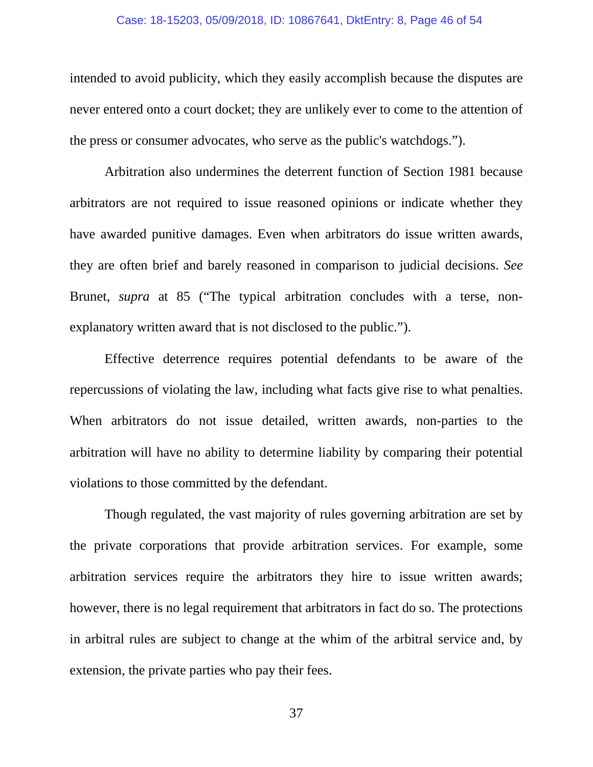#### Case: 18-15203, 05/09/2018, ID: 10867641, DktEntry: 8, Page 46 of 54

intended to avoid publicity, which they easily accomplish because the disputes are never entered onto a court docket; they are unlikely ever to come to the attention of the press or consumer advocates, who serve as the public's watchdogs.").

Arbitration also undermines the deterrent function of Section 1981 because arbitrators are not required to issue reasoned opinions or indicate whether they have awarded punitive damages. Even when arbitrators do issue written awards, they are often brief and barely reasoned in comparison to judicial decisions. *See*  Brunet, *supra* at 85 ("The typical arbitration concludes with a terse, nonexplanatory written award that is not disclosed to the public.").

Effective deterrence requires potential defendants to be aware of the repercussions of violating the law, including what facts give rise to what penalties. When arbitrators do not issue detailed, written awards, non-parties to the arbitration will have no ability to determine liability by comparing their potential violations to those committed by the defendant.

Though regulated, the vast majority of rules governing arbitration are set by the private corporations that provide arbitration services. For example, some arbitration services require the arbitrators they hire to issue written awards; however, there is no legal requirement that arbitrators in fact do so. The protections in arbitral rules are subject to change at the whim of the arbitral service and, by extension, the private parties who pay their fees.

37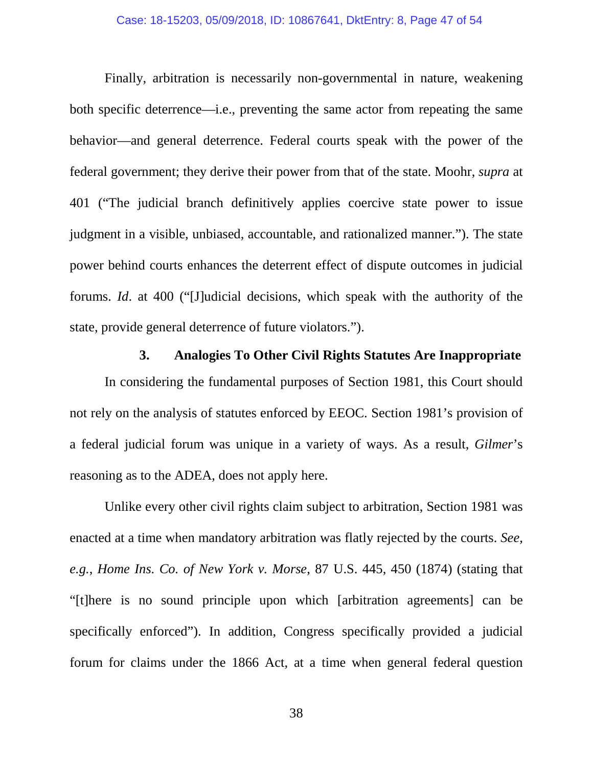Finally, arbitration is necessarily non-governmental in nature, weakening both specific deterrence—i.e., preventing the same actor from repeating the same behavior—and general deterrence. Federal courts speak with the power of the federal government; they derive their power from that of the state. Moohr, *supra* at 401 ("The judicial branch definitively applies coercive state power to issue judgment in a visible, unbiased, accountable, and rationalized manner."). The state power behind courts enhances the deterrent effect of dispute outcomes in judicial forums. *Id*. at 400 ("[J]udicial decisions, which speak with the authority of the state, provide general deterrence of future violators.").

## **3. Analogies To Other Civil Rights Statutes Are Inappropriate**

In considering the fundamental purposes of Section 1981, this Court should not rely on the analysis of statutes enforced by EEOC. Section 1981's provision of a federal judicial forum was unique in a variety of ways. As a result, *Gilmer*'s reasoning as to the ADEA, does not apply here.

Unlike every other civil rights claim subject to arbitration, Section 1981 was enacted at a time when mandatory arbitration was flatly rejected by the courts. *See, e.g.*, *Home Ins. Co. of New York v. Morse*, 87 U.S. 445, 450 (1874) (stating that "[t]here is no sound principle upon which [arbitration agreements] can be specifically enforced"). In addition, Congress specifically provided a judicial forum for claims under the 1866 Act, at a time when general federal question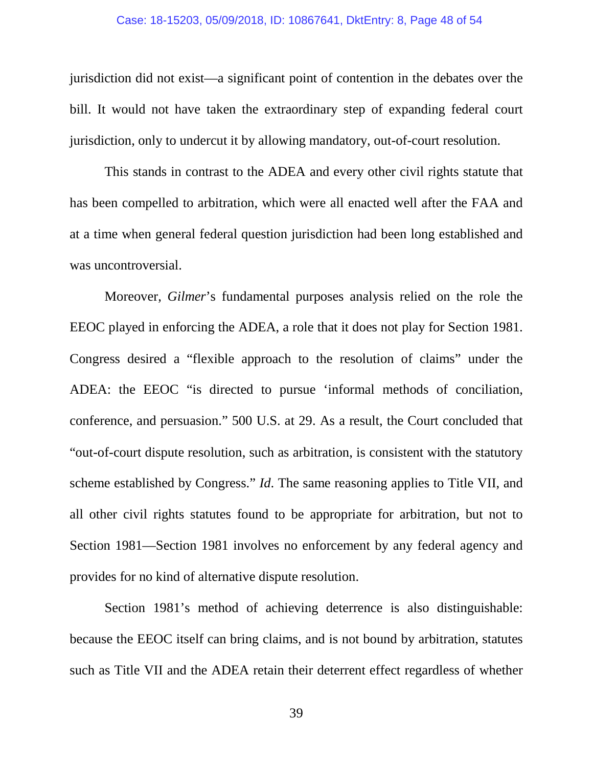#### Case: 18-15203, 05/09/2018, ID: 10867641, DktEntry: 8, Page 48 of 54

jurisdiction did not exist—a significant point of contention in the debates over the bill. It would not have taken the extraordinary step of expanding federal court jurisdiction, only to undercut it by allowing mandatory, out-of-court resolution.

This stands in contrast to the ADEA and every other civil rights statute that has been compelled to arbitration, which were all enacted well after the FAA and at a time when general federal question jurisdiction had been long established and was uncontroversial.

Moreover, *Gilmer*'s fundamental purposes analysis relied on the role the EEOC played in enforcing the ADEA, a role that it does not play for Section 1981. Congress desired a "flexible approach to the resolution of claims" under the ADEA: the EEOC "is directed to pursue 'informal methods of conciliation, conference, and persuasion." 500 U.S. at 29. As a result, the Court concluded that "out-of-court dispute resolution, such as arbitration, is consistent with the statutory scheme established by Congress." *Id*. The same reasoning applies to Title VII, and all other civil rights statutes found to be appropriate for arbitration, but not to Section 1981—Section 1981 involves no enforcement by any federal agency and provides for no kind of alternative dispute resolution.

Section 1981's method of achieving deterrence is also distinguishable: because the EEOC itself can bring claims, and is not bound by arbitration, statutes such as Title VII and the ADEA retain their deterrent effect regardless of whether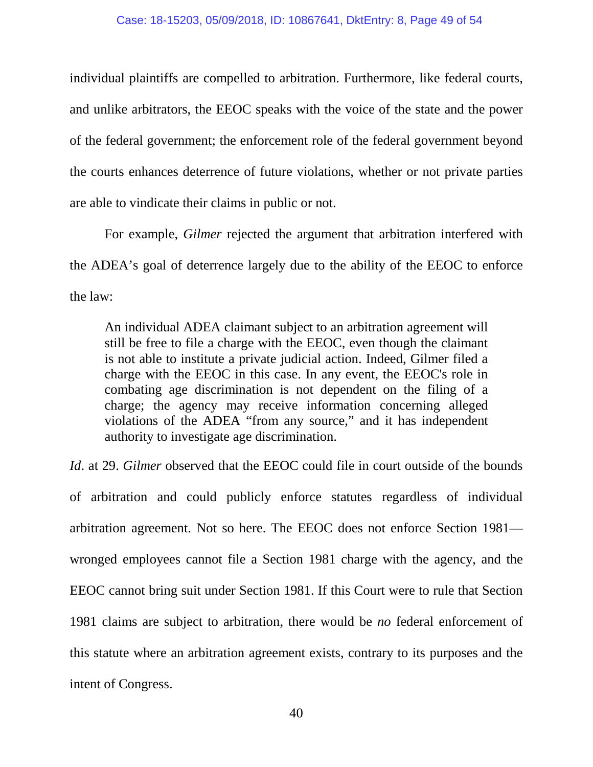individual plaintiffs are compelled to arbitration. Furthermore, like federal courts, and unlike arbitrators, the EEOC speaks with the voice of the state and the power of the federal government; the enforcement role of the federal government beyond the courts enhances deterrence of future violations, whether or not private parties are able to vindicate their claims in public or not.

For example, *Gilmer* rejected the argument that arbitration interfered with the ADEA's goal of deterrence largely due to the ability of the EEOC to enforce the law:

An individual ADEA claimant subject to an arbitration agreement will still be free to file a charge with the EEOC, even though the claimant is not able to institute a private judicial action. Indeed, Gilmer filed a charge with the EEOC in this case. In any event, the EEOC's role in combating age discrimination is not dependent on the filing of a charge; the agency may receive information concerning alleged violations of the ADEA "from any source," and it has independent authority to investigate age discrimination.

*Id.* at 29. *Gilmer* observed that the EEOC could file in court outside of the bounds

of arbitration and could publicly enforce statutes regardless of individual arbitration agreement. Not so here. The EEOC does not enforce Section 1981 wronged employees cannot file a Section 1981 charge with the agency, and the EEOC cannot bring suit under Section 1981. If this Court were to rule that Section 1981 claims are subject to arbitration, there would be *no* federal enforcement of this statute where an arbitration agreement exists, contrary to its purposes and the intent of Congress.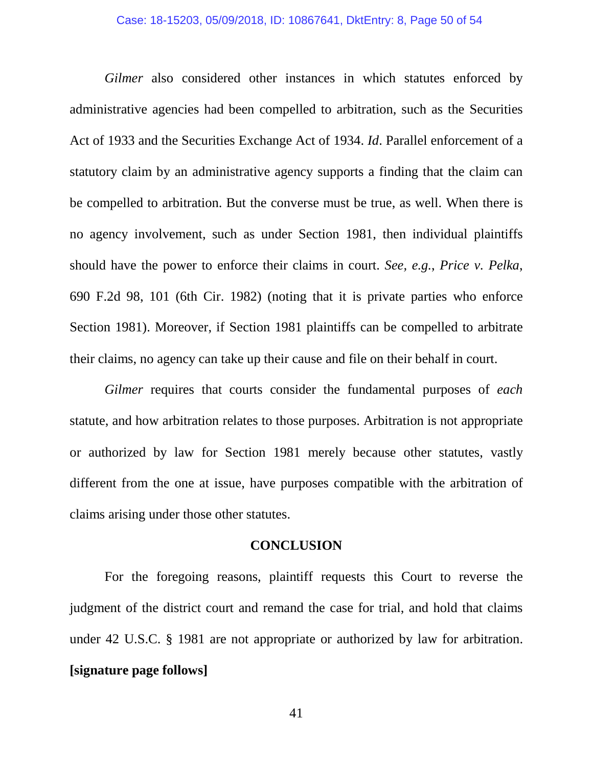*Gilmer* also considered other instances in which statutes enforced by administrative agencies had been compelled to arbitration, such as the Securities Act of 1933 and the Securities Exchange Act of 1934. *Id*. Parallel enforcement of a statutory claim by an administrative agency supports a finding that the claim can be compelled to arbitration. But the converse must be true, as well. When there is no agency involvement, such as under Section 1981, then individual plaintiffs should have the power to enforce their claims in court. *See, e.g.*, *Price v. Pelka*, 690 F.2d 98, 101 (6th Cir. 1982) (noting that it is private parties who enforce Section 1981). Moreover, if Section 1981 plaintiffs can be compelled to arbitrate their claims, no agency can take up their cause and file on their behalf in court.

*Gilmer* requires that courts consider the fundamental purposes of *each*  statute, and how arbitration relates to those purposes. Arbitration is not appropriate or authorized by law for Section 1981 merely because other statutes, vastly different from the one at issue, have purposes compatible with the arbitration of claims arising under those other statutes.

#### <span id="page-49-0"></span>**CONCLUSION**

For the foregoing reasons, plaintiff requests this Court to reverse the judgment of the district court and remand the case for trial, and hold that claims under 42 U.S.C. § 1981 are not appropriate or authorized by law for arbitration. **[signature page follows]**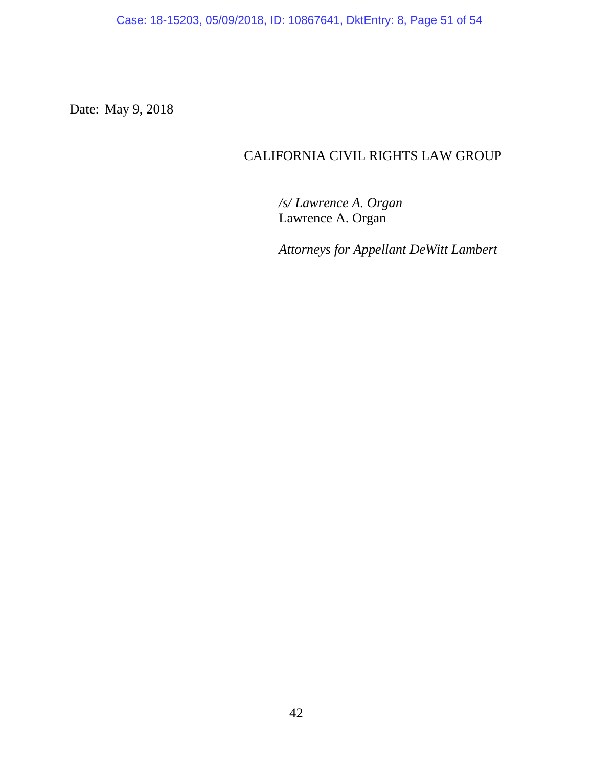Case: 18-15203, 05/09/2018, ID: 10867641, DktEntry: 8, Page 51 of 54

Date: May 9, 2018

## CALIFORNIA CIVIL RIGHTS LAW GROUP

*/s/ Lawrence A. Organ* Lawrence A. Organ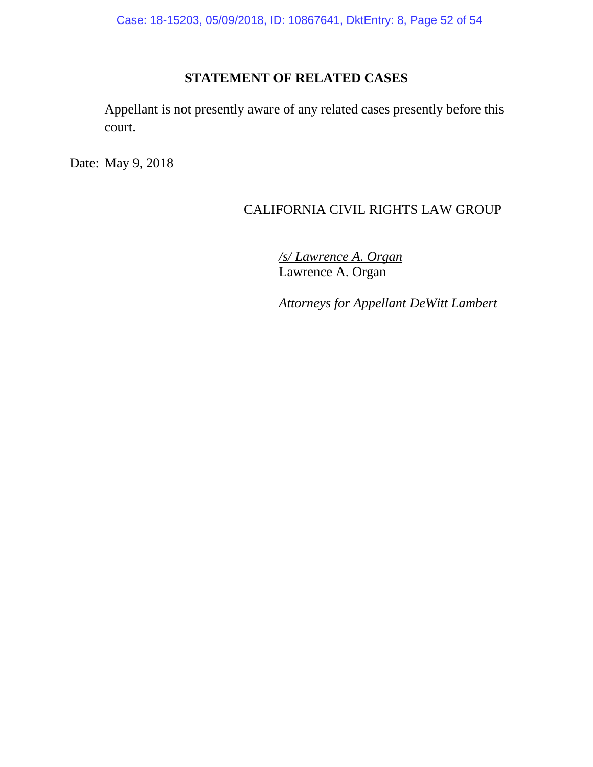Case: 18-15203, 05/09/2018, ID: 10867641, DktEntry: 8, Page 52 of 54

## **STATEMENT OF RELATED CASES**

Appellant is not presently aware of any related cases presently before this court.

Date: May 9, 2018

## CALIFORNIA CIVIL RIGHTS LAW GROUP

*/s/ Lawrence A. Organ* Lawrence A. Organ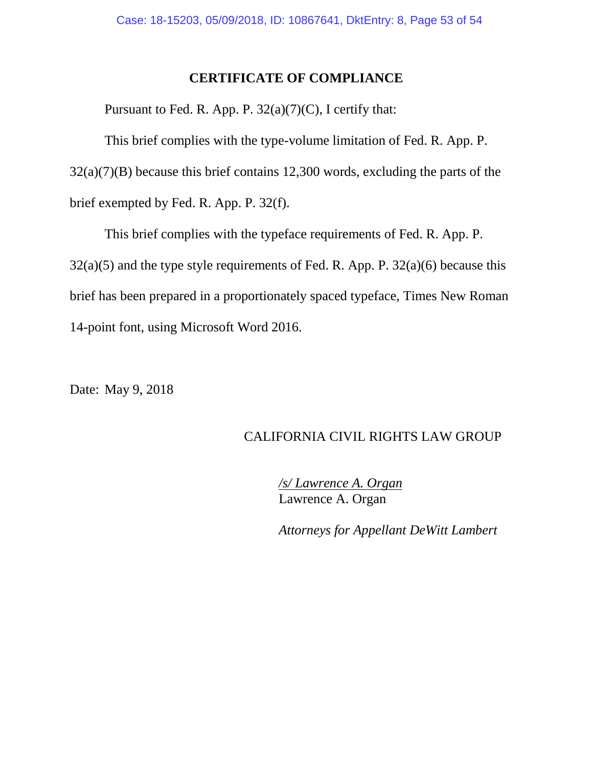## **CERTIFICATE OF COMPLIANCE**

Pursuant to Fed. R. App. P.  $32(a)(7)(C)$ , I certify that:

This brief complies with the type-volume limitation of Fed. R. App. P. 32(a)(7)(B) because this brief contains 12,300 words, excluding the parts of the brief exempted by Fed. R. App. P. 32(f).

This brief complies with the typeface requirements of Fed. R. App. P.  $32(a)(5)$  and the type style requirements of Fed. R. App. P.  $32(a)(6)$  because this brief has been prepared in a proportionately spaced typeface, Times New Roman 14-point font, using Microsoft Word 2016.

Date: May 9, 2018

## CALIFORNIA CIVIL RIGHTS LAW GROUP

*/s/ Lawrence A. Organ* Lawrence A. Organ